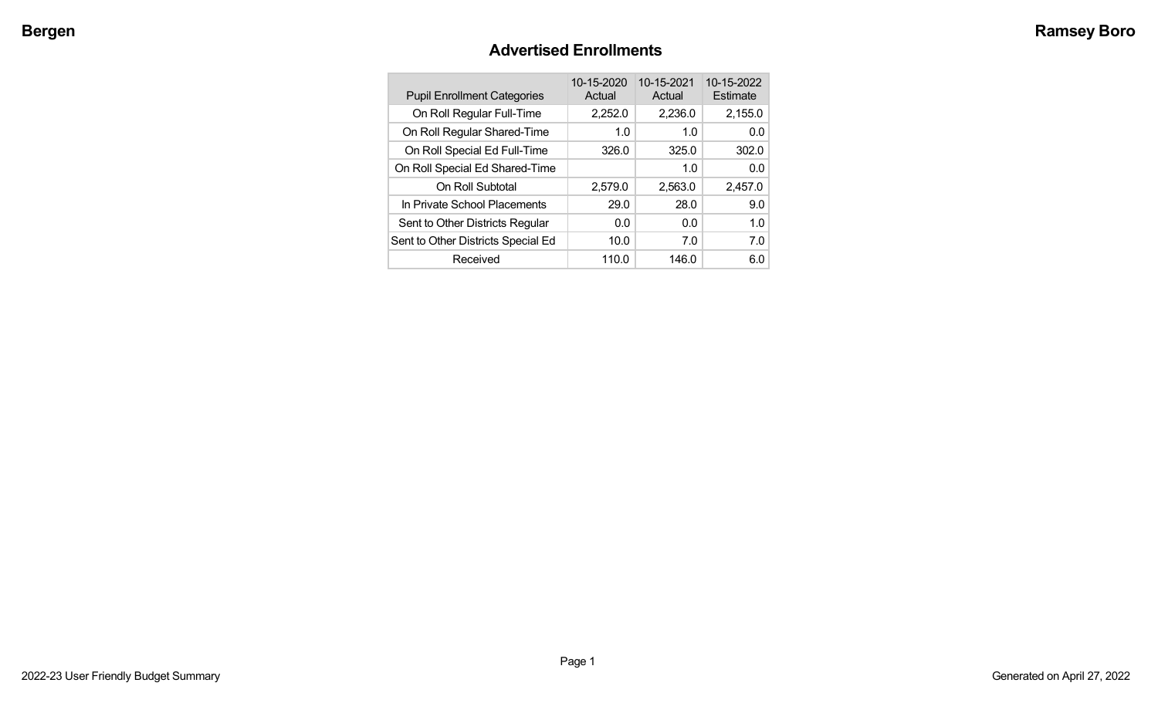## **Advertised Enrollments**

| <b>Pupil Enrollment Categories</b> | 10-15-2020<br>Actual | 10-15-2021<br>Actual | 10-15-2022<br>Estimate |
|------------------------------------|----------------------|----------------------|------------------------|
| On Roll Regular Full-Time          | 2,252.0              | 2,236.0              | 2,155.0                |
| On Roll Regular Shared-Time        | 1.0                  | 1.0                  | 0.0                    |
| On Roll Special Ed Full-Time       | 326.0                | 325.0                | 302.0                  |
| On Roll Special Ed Shared-Time     |                      | 1.0                  | 0.0                    |
| On Roll Subtotal                   | 2,579.0              | 2,563.0              | 2,457.0                |
| In Private School Placements       | 29.0                 | 28.0                 | 9.0                    |
| Sent to Other Districts Regular    | 0.0                  | 0.0                  | 1.0                    |
| Sent to Other Districts Special Ed | 10.0                 | 7.0                  | 7.0                    |
| Received                           | 110.0                | 146.0                | 6.0                    |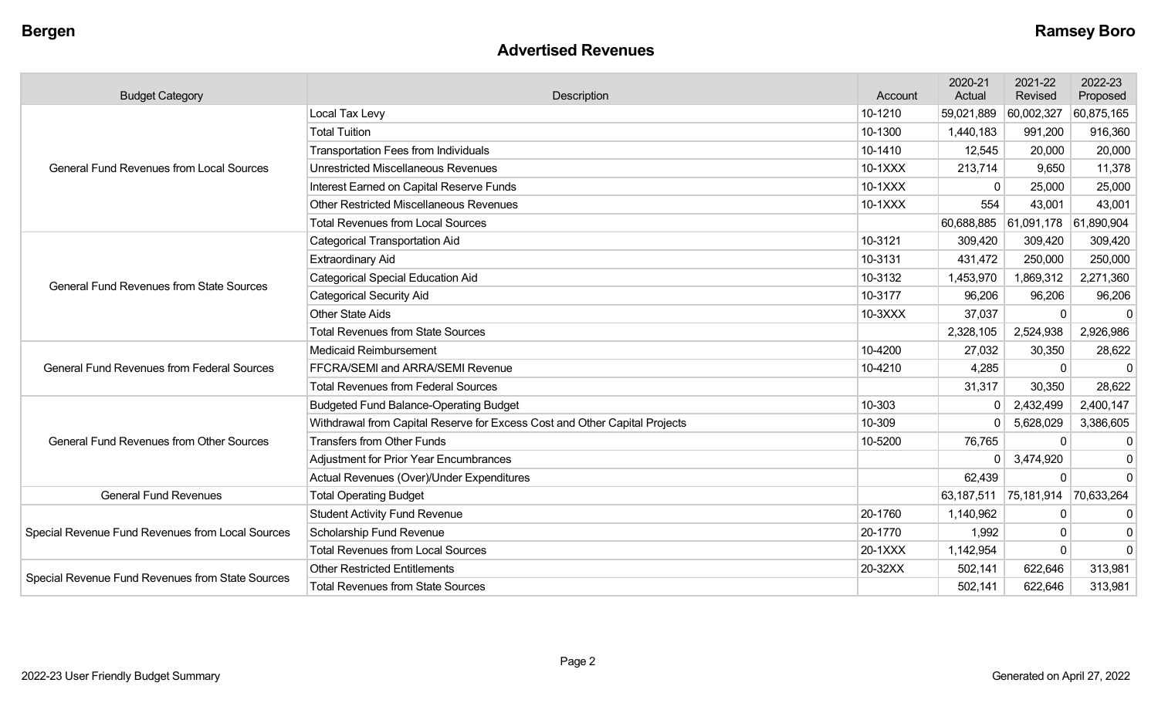#### **Advertised Revenues**

| <b>Budget Category</b>                            | Description                                                                | Account | 2020-21<br>Actual     | 2021-22<br>Revised               | 2022-23<br>Proposed |
|---------------------------------------------------|----------------------------------------------------------------------------|---------|-----------------------|----------------------------------|---------------------|
|                                                   | Local Tax Levy                                                             | 10-1210 | 59,021,889            | 60,002,327                       | 60,875,165          |
|                                                   | <b>Total Tuition</b>                                                       | 10-1300 | 1,440,183             | 991,200                          | 916,360             |
|                                                   | <b>Transportation Fees from Individuals</b>                                | 10-1410 | 12,545                | 20,000                           | 20,000              |
| <b>General Fund Revenues from Local Sources</b>   | <b>Unrestricted Miscellaneous Revenues</b>                                 | 10-1XXX | 213,714               | 9,650                            | 11,378              |
|                                                   | Interest Earned on Capital Reserve Funds                                   | 10-1XXX | 0                     | 25,000                           | 25,000              |
|                                                   | <b>Other Restricted Miscellaneous Revenues</b>                             | 10-1XXX | 554                   | 43,001                           | 43,001              |
|                                                   | <b>Total Revenues from Local Sources</b>                                   |         |                       | 60,688,885 61,091,178 61,890,904 |                     |
|                                                   | <b>Categorical Transportation Aid</b>                                      | 10-3121 | 309,420               | 309,420                          | 309,420             |
|                                                   | <b>Extraordinary Aid</b>                                                   | 10-3131 | 431,472               | 250,000                          | 250,000             |
| <b>General Fund Revenues from State Sources</b>   | <b>Categorical Special Education Aid</b>                                   | 10-3132 | 1,453,970             | 1,869,312                        | 2,271,360           |
|                                                   | <b>Categorical Security Aid</b>                                            | 10-3177 | 96,206                | 96,206                           | 96,206              |
|                                                   | <b>Other State Aids</b>                                                    | 10-3XXX | 37,037                | $\Omega$                         | $\Omega$            |
|                                                   | <b>Total Revenues from State Sources</b>                                   |         | 2,328,105             | 2,524,938                        | 2,926,986           |
|                                                   | Medicaid Reimbursement                                                     | 10-4200 | 27,032                | 30,350                           | 28,622              |
| <b>General Fund Revenues from Federal Sources</b> | FFCRA/SEMI and ARRA/SEMI Revenue                                           | 10-4210 | 4,285                 | $\Omega$                         | $\mathbf{0}$        |
|                                                   | <b>Total Revenues from Federal Sources</b>                                 |         | 31,317                | 30,350                           | 28,622              |
|                                                   | <b>Budgeted Fund Balance-Operating Budget</b>                              | 10-303  | 0                     | 2,432,499                        | 2,400,147           |
|                                                   | Withdrawal from Capital Reserve for Excess Cost and Other Capital Projects | 10-309  | 0                     | 5,628,029                        | 3,386,605           |
| <b>General Fund Revenues from Other Sources</b>   | <b>Transfers from Other Funds</b>                                          | 10-5200 | 76,765                | $\Omega$                         | $\mathbf 0$         |
|                                                   | <b>Adjustment for Prior Year Encumbrances</b>                              |         | 0                     | 3,474,920                        | 0                   |
|                                                   | Actual Revenues (Over)/Under Expenditures                                  |         | 62,439                | $\mathbf 0$                      | $\mathbf 0$         |
| <b>General Fund Revenues</b>                      | <b>Total Operating Budget</b>                                              |         | 63,187,511 75,181,914 |                                  | 70,633,264          |
|                                                   | <b>Student Activity Fund Revenue</b>                                       | 20-1760 | 1,140,962             | $\Omega$                         | 0                   |
| Special Revenue Fund Revenues from Local Sources  | <b>Scholarship Fund Revenue</b>                                            | 20-1770 | 1,992                 | $\Omega$                         | $\mathbf 0$         |
|                                                   | <b>Total Revenues from Local Sources</b>                                   | 20-1XXX | 1,142,954             | $\Omega$                         | $\mathbf 0$         |
|                                                   | <b>Other Restricted Entitlements</b>                                       | 20-32XX | 502,141               | 622,646                          | 313,981             |
| Special Revenue Fund Revenues from State Sources  | <b>Total Revenues from State Sources</b>                                   |         | 502,141               | 622,646                          | 313,981             |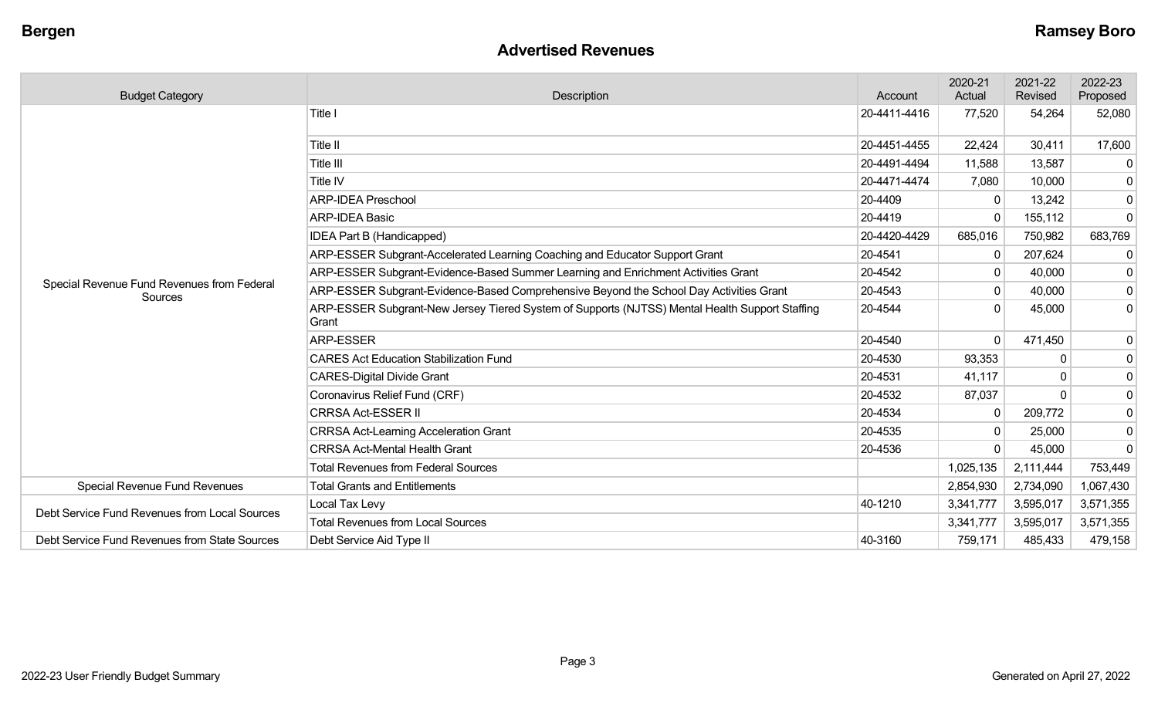#### **Advertised Revenues**

| <b>Budget Category</b>                                | Description                                                                                             | Account      | 2020-21<br>Actual | 2021-22<br>Revised | 2022-23<br>Proposed |
|-------------------------------------------------------|---------------------------------------------------------------------------------------------------------|--------------|-------------------|--------------------|---------------------|
|                                                       | Title I                                                                                                 | 20-4411-4416 | 77,520            | 54,264             | 52,080              |
|                                                       | Title II                                                                                                | 20-4451-4455 | 22,424            | 30,411             | 17,600              |
|                                                       | Title III                                                                                               | 20-4491-4494 | 11,588            | 13,587             |                     |
|                                                       | Title IV                                                                                                | 20-4471-4474 | 7,080             | 10,000             | 0                   |
|                                                       | <b>ARP-IDEA Preschool</b>                                                                               | 20-4409      |                   | 13,242             | 0                   |
|                                                       | <b>ARP-IDEA Basic</b>                                                                                   | 20-4419      | $\Omega$          | 155,112            | $\mathbf{0}$        |
|                                                       | IDEA Part B (Handicapped)                                                                               | 20-4420-4429 | 685,016           | 750,982            | 683,769             |
|                                                       | ARP-ESSER Subgrant-Accelerated Learning Coaching and Educator Support Grant                             | 20-4541      | 0                 | 207,624            | -0                  |
|                                                       | ARP-ESSER Subgrant-Evidence-Based Summer Learning and Enrichment Activities Grant                       | 20-4542      |                   | 40,000             | 0                   |
| Special Revenue Fund Revenues from Federal<br>Sources | ARP-ESSER Subgrant-Evidence-Based Comprehensive Beyond the School Day Activities Grant                  | 20-4543      | $\mathbf{0}$      | 40,000             | $\mathbf 0$         |
|                                                       | ARP-ESSER Subgrant-New Jersey Tiered System of Supports (NJTSS) Mental Health Support Staffing<br>Grant | 20-4544      |                   | 45,000             | 0                   |
|                                                       | <b>ARP-ESSER</b>                                                                                        | 20-4540      | $\Omega$          | 471,450            | 0                   |
|                                                       | <b>CARES Act Education Stabilization Fund</b>                                                           | 20-4530      | 93,353            | $\Omega$           | $\mathbf 0$         |
|                                                       | <b>CARES-Digital Divide Grant</b>                                                                       | 20-4531      | 41,117            | $\Omega$           | $\mathbf 0$         |
|                                                       | Coronavirus Relief Fund (CRF)                                                                           | 20-4532      | 87,037            | $\Omega$           | $\mathbf 0$         |
|                                                       | <b>CRRSA Act-ESSER II</b>                                                                               | 20-4534      | $\mathbf{0}$      | 209,772            | 0                   |
|                                                       | <b>CRRSA Act-Learning Acceleration Grant</b>                                                            | 20-4535      |                   | 25,000             | 0                   |
|                                                       | <b>CRRSA Act-Mental Health Grant</b>                                                                    | 20-4536      |                   | 45,000             | $\Omega$            |
|                                                       | <b>Total Revenues from Federal Sources</b>                                                              |              | 1,025,135         | 2,111,444          | 753,449             |
| Special Revenue Fund Revenues                         | <b>Total Grants and Entitlements</b>                                                                    |              | 2,854,930         | 2,734,090          | 1,067,430           |
| Debt Service Fund Revenues from Local Sources         | Local Tax Levy                                                                                          | 40-1210      | 3,341,777         | 3,595,017          | 3,571,355           |
|                                                       | <b>Total Revenues from Local Sources</b>                                                                |              | 3,341,777         | 3,595,017          | 3,571,355           |
| Debt Service Fund Revenues from State Sources         | Debt Service Aid Type II                                                                                | 40-3160      | 759,171           | 485,433            | 479,158             |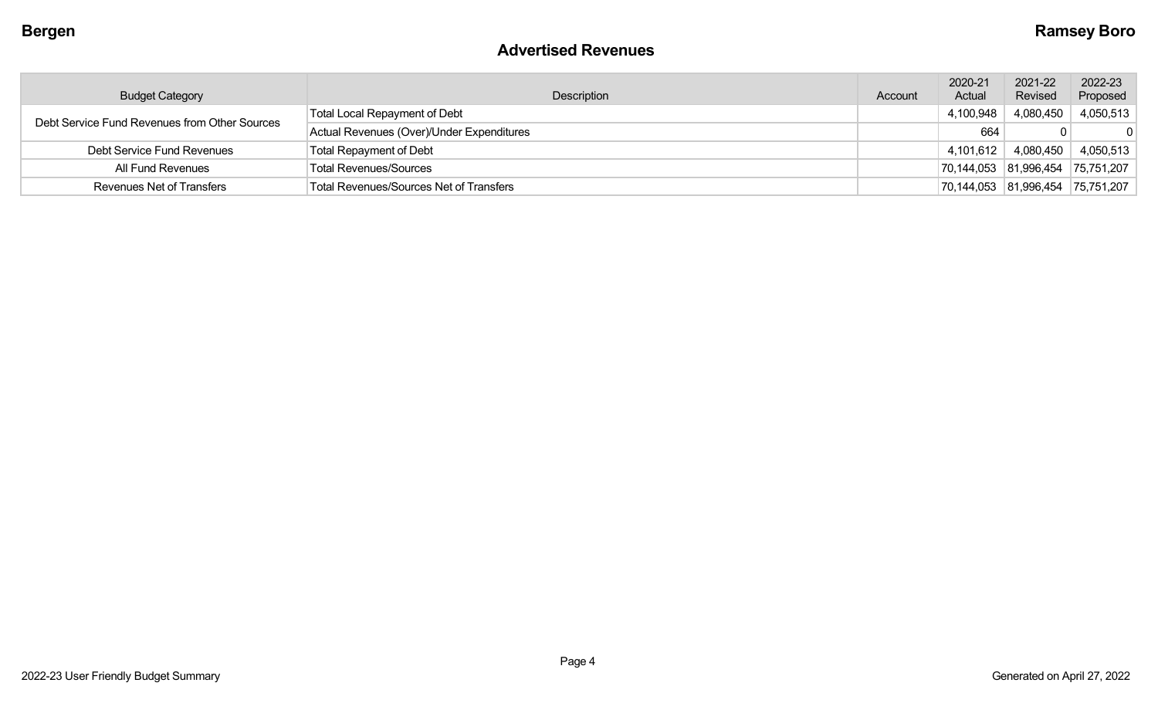#### **Advertised Revenues**

| <b>Budget Category</b>                        | Description                                    | Account | 2020-21<br>Actual | 2021-22<br>Revised    | 2022-23<br>Proposed |
|-----------------------------------------------|------------------------------------------------|---------|-------------------|-----------------------|---------------------|
| Debt Service Fund Revenues from Other Sources | <b>Total Local Repayment of Debt</b>           |         | 4,100,948         | 4,080,450             | 4,050,513           |
|                                               | Actual Revenues (Over)/Under Expenditures      |         | 664               |                       |                     |
| Debt Service Fund Revenues                    | <b>Total Repayment of Debt</b>                 |         | 4,101,612         | 4,080,450             | 4,050,513           |
| All Fund Revenues                             | <b>Total Revenues/Sources</b>                  |         |                   | 70,144,053 81,996,454 | 75,751,207          |
| <b>Revenues Net of Transfers</b>              | <b>Total Revenues/Sources Net of Transfers</b> |         |                   | 70,144,053 81,996,454 | 75,751,207          |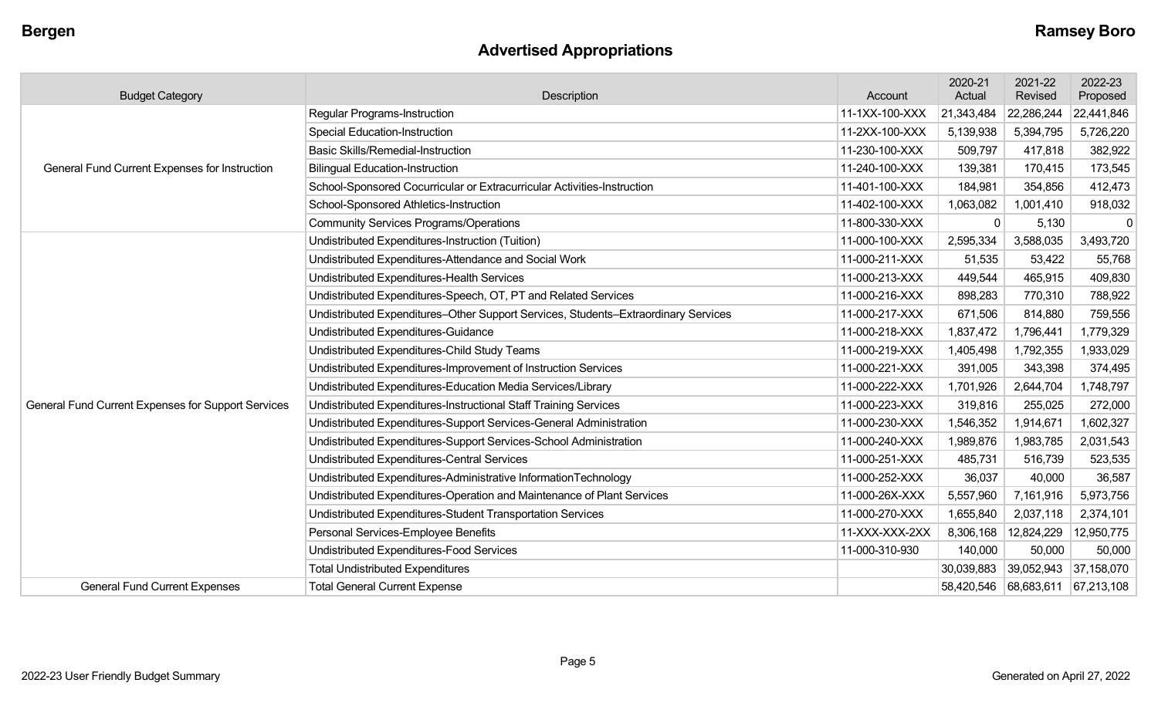## **Advertised Appropriations**

| <b>Budget Category</b>                             | Description                                                                        | Account        | 2020-21<br>Actual | 2021-22<br>Revised    | 2022-23<br>Proposed |
|----------------------------------------------------|------------------------------------------------------------------------------------|----------------|-------------------|-----------------------|---------------------|
|                                                    | <b>Regular Programs-Instruction</b>                                                | 11-1XX-100-XXX | 21,343,484        | 22,286,244            | 22,441,846          |
|                                                    | <b>Special Education-Instruction</b>                                               | 11-2XX-100-XXX | 5,139,938         | 5,394,795             | 5,726,220           |
|                                                    | <b>Basic Skills/Remedial-Instruction</b>                                           | 11-230-100-XXX | 509,797           | 417,818               | 382,922             |
| General Fund Current Expenses for Instruction      | <b>Bilingual Education-Instruction</b>                                             | 11-240-100-XXX | 139,381           | 170,415               | 173,545             |
|                                                    | School-Sponsored Cocurricular or Extracurricular Activities-Instruction            | 11-401-100-XXX | 184,981           | 354,856               | 412,473             |
|                                                    | School-Sponsored Athletics-Instruction                                             | 11-402-100-XXX | 1,063,082         | 1,001,410             | 918,032             |
|                                                    | <b>Community Services Programs/Operations</b>                                      | 11-800-330-XXX | $\mathbf{0}$      | 5,130                 | $\mathbf 0$         |
|                                                    | Undistributed Expenditures-Instruction (Tuition)                                   | 11-000-100-XXX | 2,595,334         | 3,588,035             | 3,493,720           |
|                                                    | Undistributed Expenditures-Attendance and Social Work                              | 11-000-211-XXX | 51,535            | 53,422                | 55,768              |
|                                                    | Undistributed Expenditures-Health Services                                         | 11-000-213-XXX | 449,544           | 465,915               | 409,830             |
|                                                    | Undistributed Expenditures-Speech, OT, PT and Related Services                     | 11-000-216-XXX | 898,283           | 770,310               | 788,922             |
|                                                    | Undistributed Expenditures-Other Support Services, Students-Extraordinary Services | 11-000-217-XXX | 671,506           | 814,880               | 759,556             |
|                                                    | Undistributed Expenditures-Guidance                                                | 11-000-218-XXX | 1,837,472         | 1,796,441             | 1,779,329           |
|                                                    | Undistributed Expenditures-Child Study Teams                                       | 11-000-219-XXX | 1,405,498         | 1,792,355             | 1,933,029           |
|                                                    | Undistributed Expenditures-Improvement of Instruction Services                     | 11-000-221-XXX | 391,005           | 343,398               | 374,495             |
|                                                    | Undistributed Expenditures-Education Media Services/Library                        | 11-000-222-XXX | 1,701,926         | 2,644,704             | 1,748,797           |
| General Fund Current Expenses for Support Services | Undistributed Expenditures-Instructional Staff Training Services                   | 11-000-223-XXX | 319,816           | 255,025               | 272,000             |
|                                                    | Undistributed Expenditures-Support Services-General Administration                 | 11-000-230-XXX | 1,546,352         | 1,914,671             | 1,602,327           |
|                                                    | Undistributed Expenditures-Support Services-School Administration                  | 11-000-240-XXX | 1,989,876         | 1,983,785             | 2,031,543           |
|                                                    | Undistributed Expenditures-Central Services                                        | 11-000-251-XXX | 485,731           | 516,739               | 523,535             |
|                                                    | Undistributed Expenditures-Administrative InformationTechnology                    | 11-000-252-XXX | 36,037            | 40,000                | 36,587              |
|                                                    | Undistributed Expenditures-Operation and Maintenance of Plant Services             | 11-000-26X-XXX | 5,557,960         | 7,161,916             | 5,973,756           |
|                                                    | Undistributed Expenditures-Student Transportation Services                         | 11-000-270-XXX | 1,655,840         | 2,037,118             | 2,374,101           |
|                                                    | Personal Services-Employee Benefits                                                | 11-XXX-XXX-2XX | 8,306,168         | 12,824,229            | 12,950,775          |
|                                                    | Undistributed Expenditures-Food Services                                           | 11-000-310-930 | 140,000           | 50,000                | 50,000              |
|                                                    | <b>Total Undistributed Expenditures</b>                                            |                | 30,039,883        | 39,052,943 37,158,070 |                     |
| <b>General Fund Current Expenses</b>               | <b>Total General Current Expense</b>                                               |                |                   | 58,420,546 68,683,611 | 67,213,108          |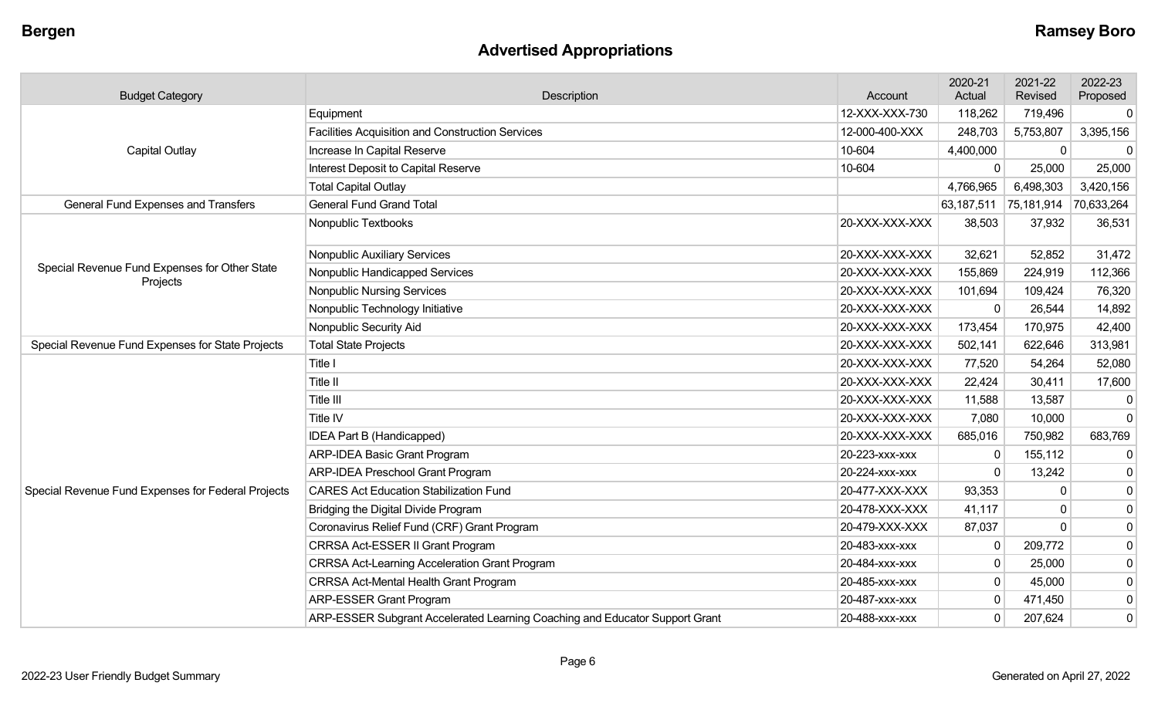## **Advertised Appropriations**

| <b>Budget Category</b>                             | Description                                                                 | Account        | 2020-21<br>Actual     | 2021-22<br>Revised | 2022-23<br>Proposed |
|----------------------------------------------------|-----------------------------------------------------------------------------|----------------|-----------------------|--------------------|---------------------|
|                                                    | Equipment                                                                   | 12-XXX-XXX-730 | 118,262               | 719,496            | $\overline{0}$      |
|                                                    | Facilities Acquisition and Construction Services                            | 12-000-400-XXX | 248,703               | 5,753,807          | 3,395,156           |
| <b>Capital Outlay</b>                              | Increase In Capital Reserve                                                 | 10-604         | 4,400,000             | $\mathbf 0$        | $\mathbf 0$         |
|                                                    | Interest Deposit to Capital Reserve                                         | 10-604         | $\Omega$              | 25,000             | 25,000              |
|                                                    | <b>Total Capital Outlay</b>                                                 |                | 4,766,965             | 6,498,303          | 3,420,156           |
| <b>General Fund Expenses and Transfers</b>         | <b>General Fund Grand Total</b>                                             |                | 63,187,511 75,181,914 |                    | 70,633,264          |
|                                                    | Nonpublic Textbooks                                                         | 20-XXX-XXX-XXX | 38,503                | 37,932             | 36,531              |
|                                                    | Nonpublic Auxiliary Services                                                | 20-XXX-XXX-XXX | 32,621                | 52,852             | 31,472              |
| Special Revenue Fund Expenses for Other State      | Nonpublic Handicapped Services                                              | 20-XXX-XXX-XXX | 155,869               | 224,919            | 112,366             |
| Projects                                           | <b>Nonpublic Nursing Services</b>                                           | 20-XXX-XXX-XXX | 101,694               | 109,424            | 76,320              |
|                                                    | Nonpublic Technology Initiative                                             | 20-XXX-XXX-XXX | $\mathbf 0$           | 26,544             | 14,892              |
|                                                    | Nonpublic Security Aid                                                      | 20-XXX-XXX-XXX | 173,454               | 170,975            | 42,400              |
| Special Revenue Fund Expenses for State Projects   | <b>Total State Projects</b>                                                 | 20-XXX-XXX-XXX | 502,141               | 622,646            | 313,981             |
|                                                    | Title I                                                                     | 20-XXX-XXX-XXX | 77,520                | 54,264             | 52,080              |
|                                                    | Title II                                                                    | 20-XXX-XXX-XXX | 22,424                | 30,411             | 17,600              |
|                                                    | Title III                                                                   | 20-XXX-XXX-XXX | 11,588                | 13,587             | 0                   |
|                                                    | Title IV                                                                    | 20-XXX-XXX-XXX | 7,080                 | 10,000             | $\overline{0}$      |
|                                                    | IDEA Part B (Handicapped)                                                   | 20-XXX-XXX-XXX | 685,016               | 750,982            | 683,769             |
|                                                    | <b>ARP-IDEA Basic Grant Program</b>                                         | 20-223-XXX-XXX | $\mathbf{0}$          | 155,112            | $\overline{0}$      |
|                                                    | ARP-IDEA Preschool Grant Program                                            | 20-224-XXX-XXX | $\Omega$              | 13,242             | $\overline{0}$      |
| Special Revenue Fund Expenses for Federal Projects | <b>CARES Act Education Stabilization Fund</b>                               | 20-477-XXX-XXX | 93,353                | ∩                  | $\overline{0}$      |
|                                                    | Bridging the Digital Divide Program                                         | 20-478-XXX-XXX | 41,117                |                    | $\overline{0}$      |
|                                                    | Coronavirus Relief Fund (CRF) Grant Program                                 | 20-479-XXX-XXX | 87,037                | $\Omega$           | $\overline{0}$      |
|                                                    | CRRSA Act-ESSER II Grant Program                                            | 20-483-xxx-xxx | 0                     | 209,772            | $\overline{0}$      |
|                                                    | <b>CRRSA Act-Learning Acceleration Grant Program</b>                        | 20-484-XXX-XXX | $\mathbf 0$           | 25,000             | $\overline{0}$      |
|                                                    | <b>CRRSA Act-Mental Health Grant Program</b>                                | 20-485-XXX-XXX | $\mathbf 0$           | 45,000             | $\overline{0}$      |
|                                                    | <b>ARP-ESSER Grant Program</b>                                              | 20-487-XXX-XXX | $\mathbf{0}$          | 471,450            | $\overline{0}$      |
|                                                    | ARP-ESSER Subgrant Accelerated Learning Coaching and Educator Support Grant | 20-488-xxx-xxx | $\mathbf 0$           | 207,624            | 0                   |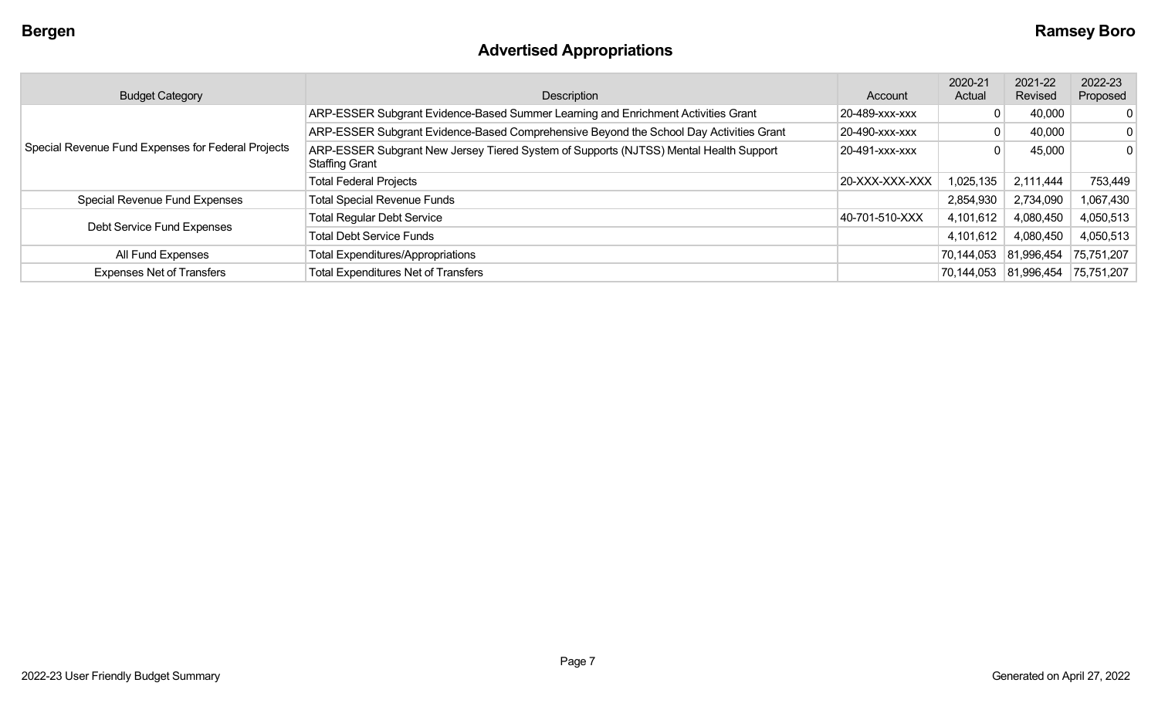# **Advertised Appropriations**

| <b>Budget Category</b>                             | Description                                                                                                    | Account        | 2020-21<br>Actual | 2021-22<br>Revised | 2022-23<br>Proposed |
|----------------------------------------------------|----------------------------------------------------------------------------------------------------------------|----------------|-------------------|--------------------|---------------------|
|                                                    | ARP-ESSER Subgrant Evidence-Based Summer Learning and Enrichment Activities Grant                              | 20-489-xxx-xxx |                   | 40,000             | 0                   |
|                                                    | ARP-ESSER Subgrant Evidence-Based Comprehensive Beyond the School Day Activities Grant                         | 20-490-xxx-xxx |                   | 40,000             | 0                   |
| Special Revenue Fund Expenses for Federal Projects | ARP-ESSER Subgrant New Jersey Tiered System of Supports (NJTSS) Mental Health Support<br><b>Staffing Grant</b> | 20-491-xxx-xxx |                   | 45,000             | 0                   |
|                                                    | <b>Total Federal Projects</b>                                                                                  | 20-XXX-XXX-XXX | 1,025,135         | 2,111,444          | 753,449             |
| Special Revenue Fund Expenses                      | <b>Total Special Revenue Funds</b>                                                                             |                | 2,854,930         | 2,734,090          | 1,067,430           |
|                                                    | <b>Total Regular Debt Service</b>                                                                              | 40-701-510-XXX | 4,101,612         | 4,080,450          | 4,050,513           |
| Debt Service Fund Expenses                         | <b>Total Debt Service Funds</b>                                                                                |                | 4,101,612         | 4,080,450          | 4,050,513           |
| All Fund Expenses                                  | <b>Total Expenditures/Appropriations</b>                                                                       |                | 70,144,053        | 81,996,454         | 75,751,207          |
| <b>Expenses Net of Transfers</b>                   | <b>Total Expenditures Net of Transfers</b>                                                                     |                | 70,144,053        | 81,996,454         | 75,751,207          |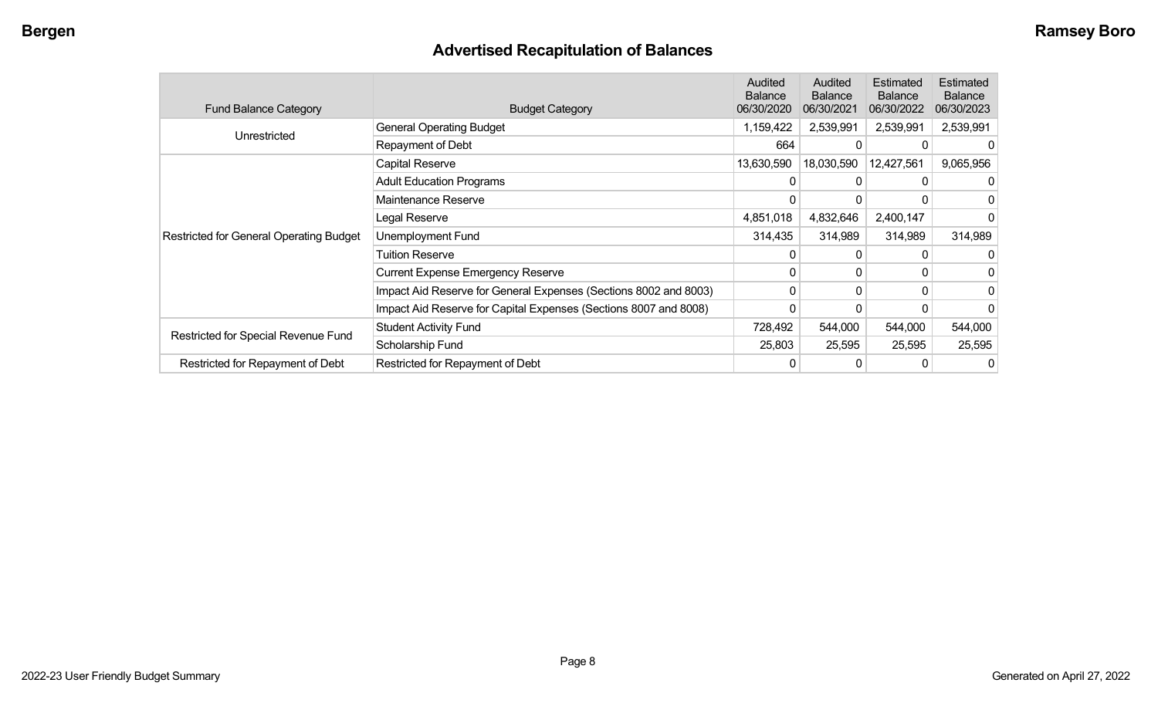## **Advertised Recapitulation of Balances**

| <b>Fund Balance Category</b>                   | <b>Budget Category</b>                                           | Audited<br><b>Balance</b><br>06/30/2020 | Audited<br><b>Balance</b><br>06/30/2021 | Estimated<br><b>Balance</b><br>06/30/2022 | Estimated<br><b>Balance</b><br>06/30/2023 |
|------------------------------------------------|------------------------------------------------------------------|-----------------------------------------|-----------------------------------------|-------------------------------------------|-------------------------------------------|
| Unrestricted                                   | <b>General Operating Budget</b>                                  | 1,159,422                               | 2,539,991                               | 2,539,991                                 | 2,539,991                                 |
|                                                | Repayment of Debt                                                | 664                                     | 0                                       |                                           |                                           |
|                                                | Capital Reserve                                                  | 13,630,590                              | 18,030,590                              | 12,427,561                                | 9,065,956                                 |
|                                                | <b>Adult Education Programs</b>                                  |                                         | 0                                       | 0                                         |                                           |
|                                                | Maintenance Reserve                                              | 0                                       | 0                                       |                                           |                                           |
|                                                | Legal Reserve                                                    | 4,851,018                               | 4,832,646                               | 2,400,147                                 |                                           |
| <b>Restricted for General Operating Budget</b> | Unemployment Fund                                                | 314,435                                 | 314,989                                 | 314,989                                   | 314,989                                   |
|                                                | <b>Tuition Reserve</b>                                           | 0                                       | 0                                       |                                           |                                           |
|                                                | <b>Current Expense Emergency Reserve</b>                         | 0                                       | $\mathbf{0}$                            | 0                                         |                                           |
|                                                | Impact Aid Reserve for General Expenses (Sections 8002 and 8003) | 0                                       | 0                                       | $\Omega$                                  | 0                                         |
|                                                | Impact Aid Reserve for Capital Expenses (Sections 8007 and 8008) | 0                                       | 0                                       |                                           |                                           |
| Restricted for Special Revenue Fund            | <b>Student Activity Fund</b>                                     | 728,492                                 | 544,000                                 | 544,000                                   | 544,000                                   |
|                                                | Scholarship Fund                                                 | 25,803                                  | 25,595                                  | 25,595                                    | 25,595                                    |
| Restricted for Repayment of Debt               | Restricted for Repayment of Debt                                 |                                         |                                         |                                           | 0                                         |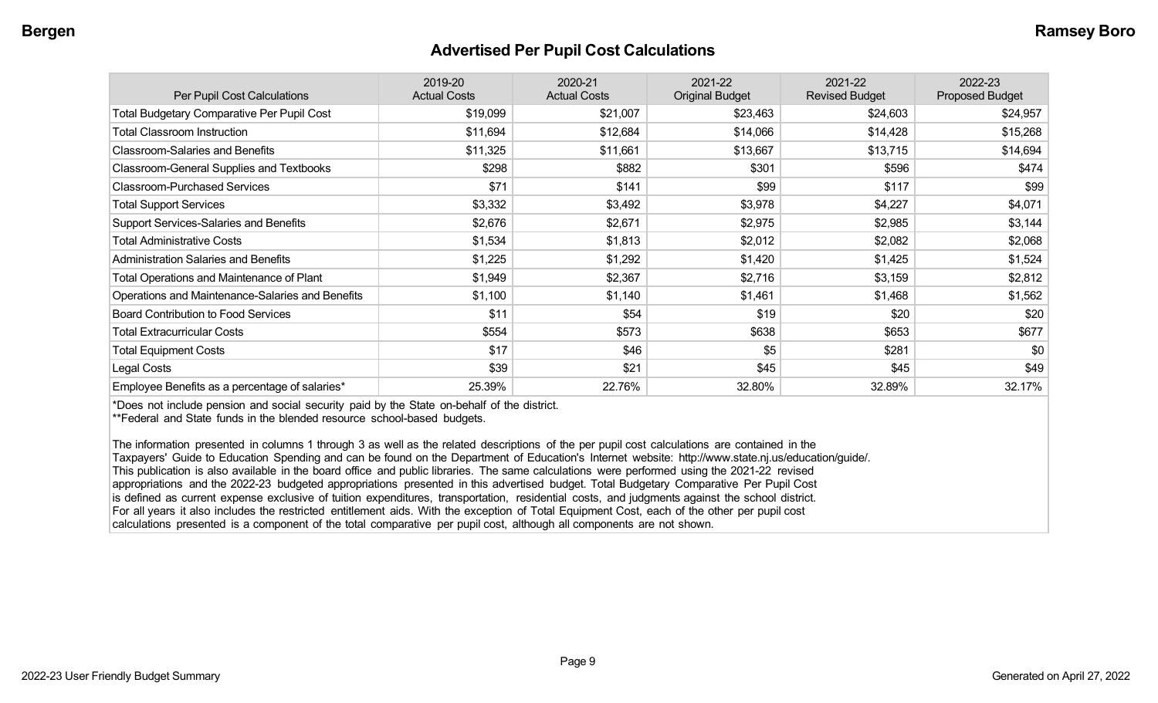#### **Advertised Per Pupil Cost Calculations**

| Per Pupil Cost Calculations                       | 2019-20<br><b>Actual Costs</b> | 2020-21<br><b>Actual Costs</b> | 2021-22<br><b>Original Budget</b> | 2021-22<br><b>Revised Budget</b> | 2022-23<br>Proposed Budget |
|---------------------------------------------------|--------------------------------|--------------------------------|-----------------------------------|----------------------------------|----------------------------|
| <b>Total Budgetary Comparative Per Pupil Cost</b> | \$19,099                       | \$21,007                       | \$23,463                          | \$24,603                         | \$24,957                   |
| <b>Total Classroom Instruction</b>                | \$11,694                       | \$12,684                       | \$14,066                          | \$14,428                         | \$15,268                   |
| <b>Classroom-Salaries and Benefits</b>            | \$11,325                       | \$11,661                       | \$13,667                          | \$13,715                         | \$14,694                   |
| Classroom-General Supplies and Textbooks          | \$298                          | \$882                          | \$301                             | \$596                            | \$474                      |
| <b>Classroom-Purchased Services</b>               | \$71                           | \$141                          | \$99                              | \$117                            | \$99                       |
| <b>Total Support Services</b>                     | \$3,332                        | \$3,492                        | \$3,978                           | \$4,227                          | \$4,071                    |
| Support Services-Salaries and Benefits            | \$2,676                        | \$2,671                        | \$2,975                           | \$2,985                          | \$3,144                    |
| <b>Total Administrative Costs</b>                 | \$1,534                        | \$1,813                        | \$2,012                           | \$2,082                          | \$2,068                    |
| <b>Administration Salaries and Benefits</b>       | \$1,225                        | \$1,292                        | \$1,420                           | \$1,425                          | \$1,524                    |
| Total Operations and Maintenance of Plant         | \$1,949                        | \$2,367                        | \$2,716                           | \$3,159                          | \$2,812                    |
| Operations and Maintenance-Salaries and Benefits  | \$1,100                        | \$1,140                        | \$1,461                           | \$1,468                          | \$1,562                    |
| <b>Board Contribution to Food Services</b>        | \$11                           | \$54                           | \$19                              | \$20                             | \$20                       |
| <b>Total Extracurricular Costs</b>                | \$554                          | \$573                          | \$638                             | \$653                            | \$677                      |
| <b>Total Equipment Costs</b>                      | \$17                           | \$46                           | \$5                               | \$281                            | \$0                        |
| Legal Costs                                       | \$39                           | \$21                           | \$45                              | \$45                             | \$49                       |
| Employee Benefits as a percentage of salaries*    | 25.39%                         | 22.76%                         | 32.80%                            | 32.89%                           | 32.17%                     |

\*Does not include pension and social security paid by the State on-behalf of the district.

\*\*Federal and State funds in the blended resource school-based budgets.

The information presented in columns 1 through 3 as well as the related descriptions of the per pupil cost calculations are contained in the Taxpayers' Guide to Education Spending and can be found on the Department of Education's Internet website: http://www.state.nj.us/education/guide/. This publication is also available in the board office and public libraries. The same calculations were performed using the 2021-22 revised appropriations and the 2022-23 budgeted appropriations presented in this advertised budget. Total Budgetary Comparative Per Pupil Cost is defined as current expense exclusive of tuition expenditures, transportation, residential costs, and judgments against the school district. For all years it also includes the restricted entitlement aids. With the exception of Total Equipment Cost, each of the other per pupil cost calculations presented is a component of the total comparative per pupil cost, although all components are not shown.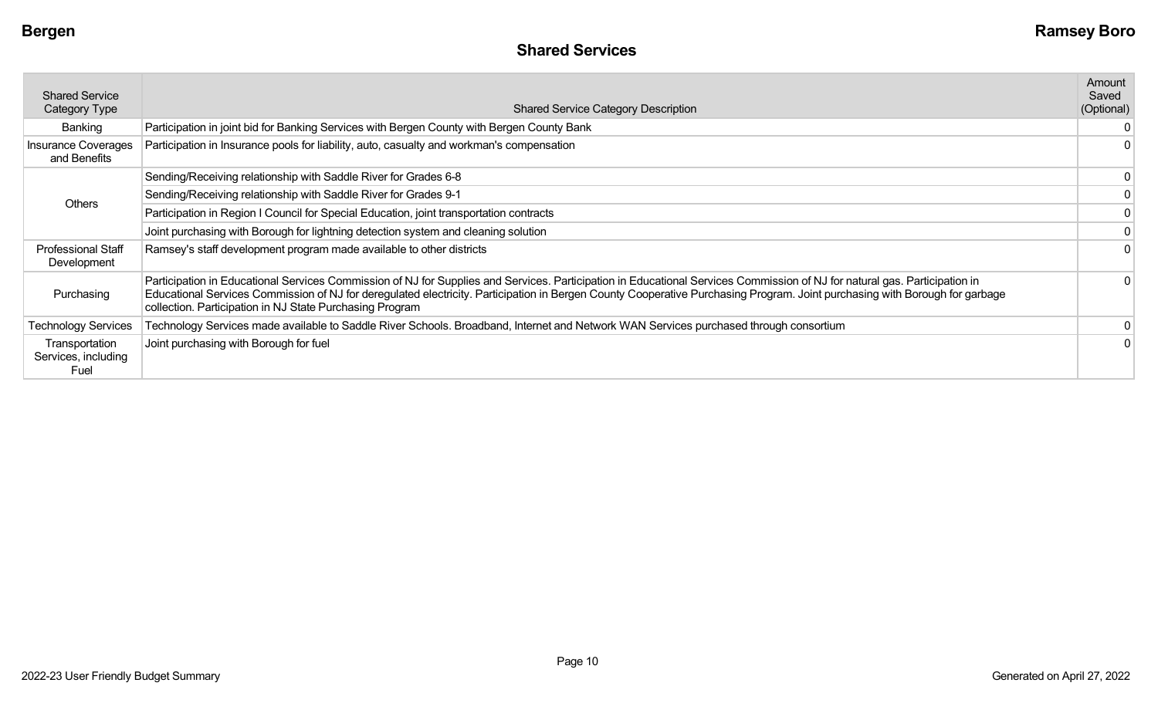| <b>Shared Service</b><br>Category Type        | <b>Shared Service Category Description</b>                                                                                                                                                                                                                                                                                                                                                                            | Amount<br>Saved<br>(Optional) |
|-----------------------------------------------|-----------------------------------------------------------------------------------------------------------------------------------------------------------------------------------------------------------------------------------------------------------------------------------------------------------------------------------------------------------------------------------------------------------------------|-------------------------------|
| Banking                                       | Participation in joint bid for Banking Services with Bergen County with Bergen County Bank                                                                                                                                                                                                                                                                                                                            | 0                             |
| <b>Insurance Coverages</b><br>and Benefits    | Participation in Insurance pools for liability, auto, casualty and workman's compensation                                                                                                                                                                                                                                                                                                                             | $\mathbf{0}$                  |
|                                               | Sending/Receiving relationship with Saddle River for Grades 6-8                                                                                                                                                                                                                                                                                                                                                       | 0                             |
| Others                                        | Sending/Receiving relationship with Saddle River for Grades 9-1                                                                                                                                                                                                                                                                                                                                                       | 0                             |
|                                               | Participation in Region I Council for Special Education, joint transportation contracts                                                                                                                                                                                                                                                                                                                               | 0                             |
|                                               | Joint purchasing with Borough for lightning detection system and cleaning solution                                                                                                                                                                                                                                                                                                                                    | 0                             |
| <b>Professional Staff</b><br>Development      | Ramsey's staff development program made available to other districts                                                                                                                                                                                                                                                                                                                                                  |                               |
| Purchasing                                    | Participation in Educational Services Commission of NJ for Supplies and Services. Participation in Educational Services Commission of NJ for natural gas. Participation in<br>Educational Services Commission of NJ for deregulated electricity. Participation in Bergen County Cooperative Purchasing Program. Joint purchasing with Borough for garbage<br>collection. Participation in NJ State Purchasing Program |                               |
| <b>Technology Services</b>                    | Technology Services made available to Saddle River Schools. Broadband, Internet and Network WAN Services purchased through consortium                                                                                                                                                                                                                                                                                 | 0                             |
| Transportation<br>Services, including<br>Fuel | Joint purchasing with Borough for fuel                                                                                                                                                                                                                                                                                                                                                                                |                               |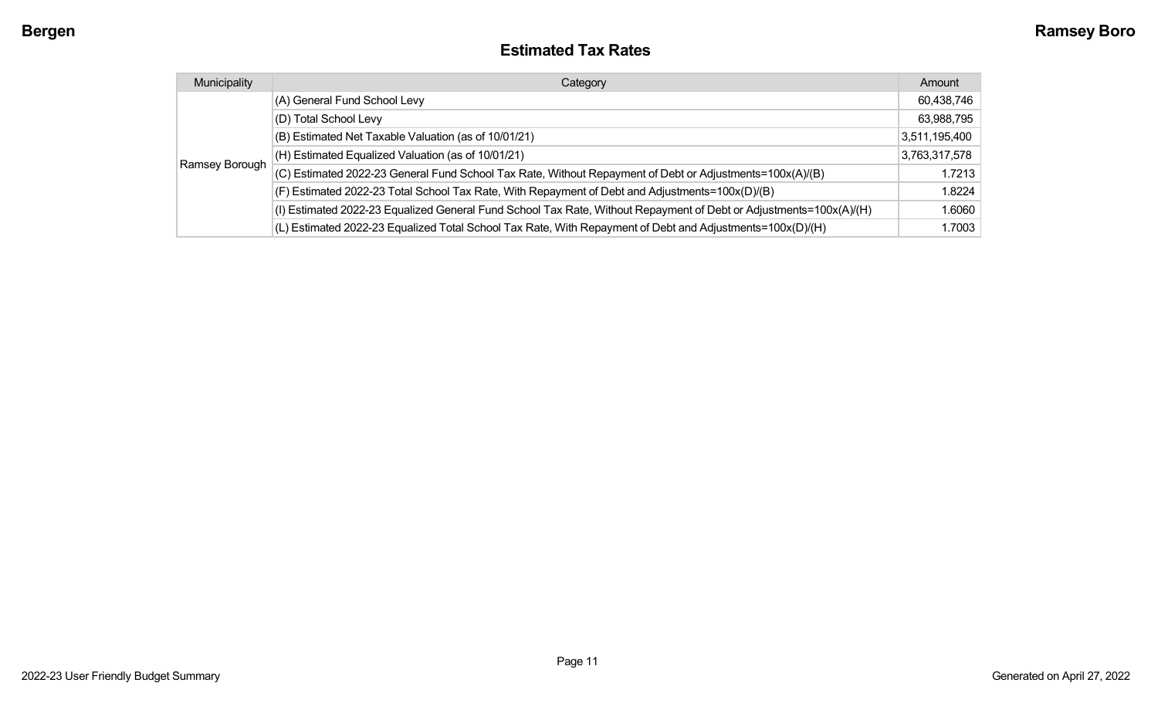#### **Estimated Tax Rates**

| Municipality   | Category                                                                                                           | Amount        |
|----------------|--------------------------------------------------------------------------------------------------------------------|---------------|
|                | (A) General Fund School Levy                                                                                       | 60,438,746    |
|                | (D) Total School Levy                                                                                              | 63,988,795    |
|                | (B) Estimated Net Taxable Valuation (as of 10/01/21)                                                               | 3,511,195,400 |
|                | (H) Estimated Equalized Valuation (as of 10/01/21)                                                                 | 3,763,317,578 |
| Ramsey Borough | (C) Estimated 2022-23 General Fund School Tax Rate, Without Repayment of Debt or Adjustments=100x(A)/(B)           | 1.7213        |
|                | (F) Estimated 2022-23 Total School Tax Rate, With Repayment of Debt and Adjustments=100x(D)/(B)                    | 1.8224        |
|                | (I) Estimated 2022-23 Equalized General Fund School Tax Rate, Without Repayment of Debt or Adjustments=100x(A)/(H) | 1.6060        |
|                | (L) Estimated 2022-23 Equalized Total School Tax Rate, With Repayment of Debt and Adjustments=100x(D)/(H)          | 1.7003        |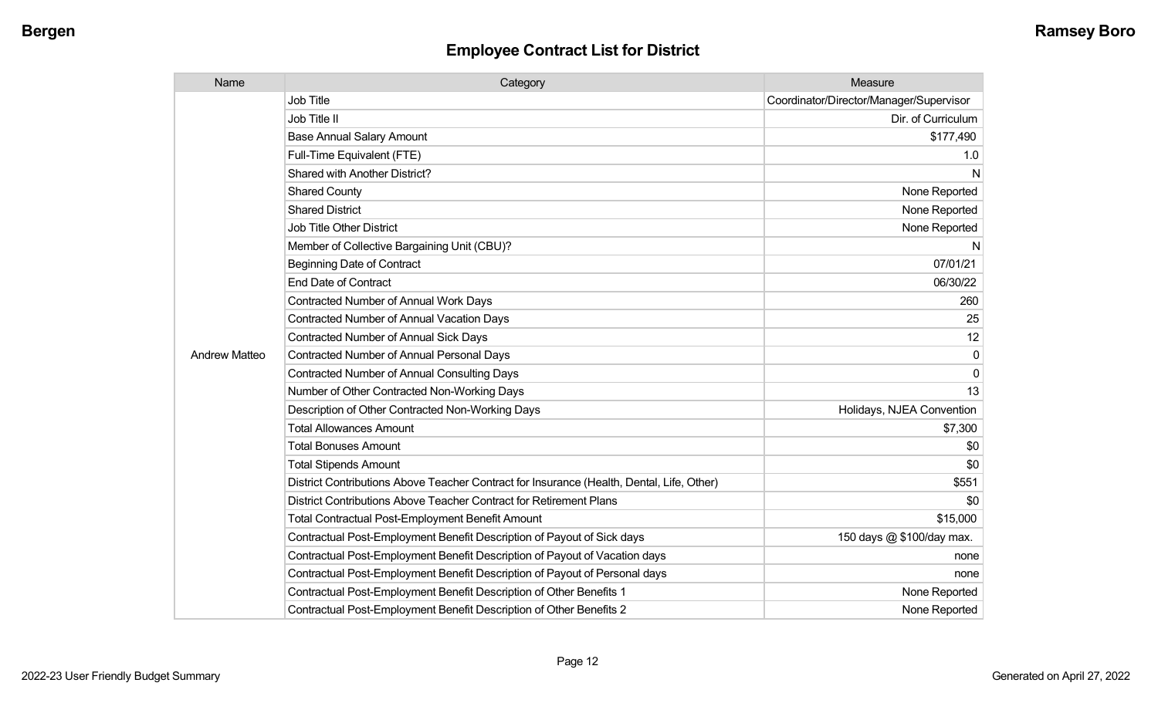| Name                 | Category                                                                                  | Measure                                 |
|----------------------|-------------------------------------------------------------------------------------------|-----------------------------------------|
|                      | <b>Job Title</b>                                                                          | Coordinator/Director/Manager/Supervisor |
|                      | Job Title II                                                                              | Dir. of Curriculum                      |
|                      | <b>Base Annual Salary Amount</b>                                                          | \$177,490                               |
|                      | Full-Time Equivalent (FTE)                                                                | 1.0                                     |
|                      | Shared with Another District?                                                             | N                                       |
|                      | <b>Shared County</b>                                                                      | None Reported                           |
|                      | <b>Shared District</b>                                                                    | None Reported                           |
|                      | <b>Job Title Other District</b>                                                           | None Reported                           |
|                      | Member of Collective Bargaining Unit (CBU)?                                               | N                                       |
|                      | <b>Beginning Date of Contract</b>                                                         | 07/01/21                                |
|                      | <b>End Date of Contract</b>                                                               | 06/30/22                                |
|                      | <b>Contracted Number of Annual Work Days</b>                                              | 260                                     |
|                      | <b>Contracted Number of Annual Vacation Days</b>                                          | 25                                      |
|                      | <b>Contracted Number of Annual Sick Days</b>                                              | 12                                      |
| <b>Andrew Matteo</b> | <b>Contracted Number of Annual Personal Days</b>                                          | 0                                       |
|                      | <b>Contracted Number of Annual Consulting Days</b>                                        | 0                                       |
|                      | Number of Other Contracted Non-Working Days                                               | 13                                      |
|                      | Description of Other Contracted Non-Working Days                                          | Holidays, NJEA Convention               |
|                      | <b>Total Allowances Amount</b>                                                            | \$7,300                                 |
|                      | <b>Total Bonuses Amount</b>                                                               | \$0                                     |
|                      | <b>Total Stipends Amount</b>                                                              | \$0                                     |
|                      | District Contributions Above Teacher Contract for Insurance (Health, Dental, Life, Other) | \$551                                   |
|                      | District Contributions Above Teacher Contract for Retirement Plans                        | \$0                                     |
|                      | <b>Total Contractual Post-Employment Benefit Amount</b>                                   | \$15,000                                |
|                      | Contractual Post-Employment Benefit Description of Payout of Sick days                    | 150 days @ \$100/day max.               |
|                      | Contractual Post-Employment Benefit Description of Payout of Vacation days                | none                                    |
|                      | Contractual Post-Employment Benefit Description of Payout of Personal days                | none                                    |
|                      | Contractual Post-Employment Benefit Description of Other Benefits 1                       | None Reported                           |
|                      | Contractual Post-Employment Benefit Description of Other Benefits 2                       | None Reported                           |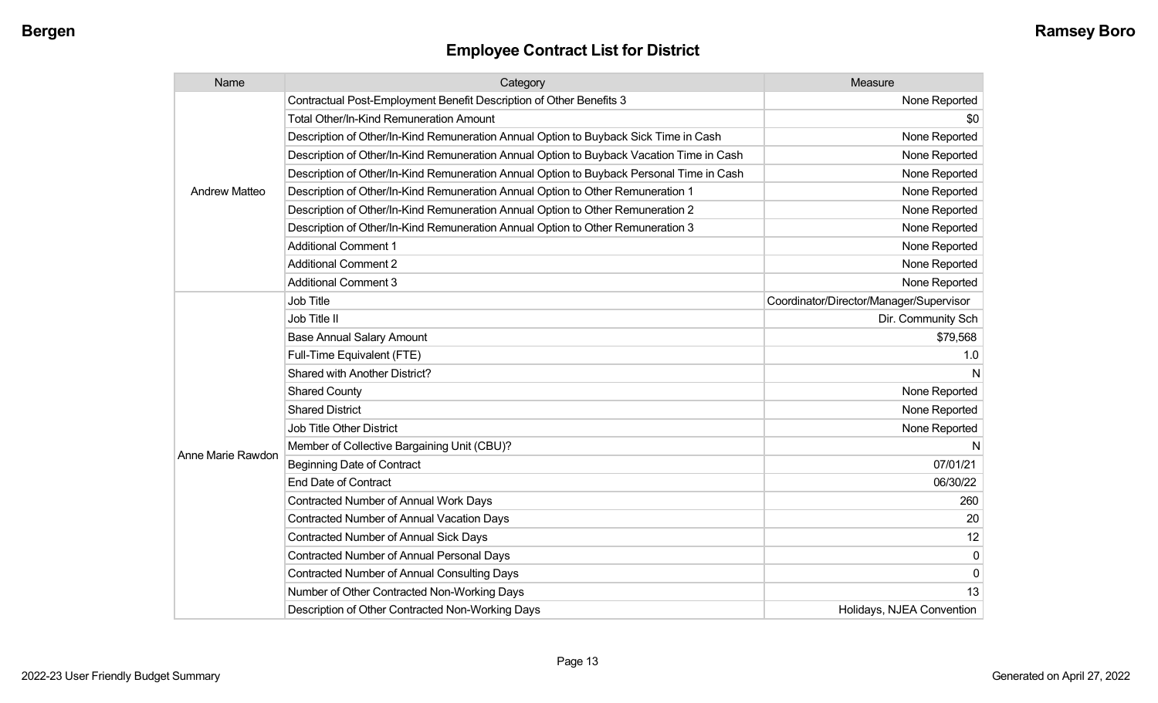| Name                 | Category                                                                                 | Measure                                 |
|----------------------|------------------------------------------------------------------------------------------|-----------------------------------------|
|                      | Contractual Post-Employment Benefit Description of Other Benefits 3                      | None Reported                           |
|                      | Total Other/In-Kind Remuneration Amount                                                  | \$0                                     |
|                      | Description of Other/In-Kind Remuneration Annual Option to Buyback Sick Time in Cash     | None Reported                           |
|                      | Description of Other/In-Kind Remuneration Annual Option to Buyback Vacation Time in Cash | None Reported                           |
|                      | Description of Other/In-Kind Remuneration Annual Option to Buyback Personal Time in Cash | None Reported                           |
| <b>Andrew Matteo</b> | Description of Other/In-Kind Remuneration Annual Option to Other Remuneration 1          | None Reported                           |
|                      | Description of Other/In-Kind Remuneration Annual Option to Other Remuneration 2          | None Reported                           |
|                      | Description of Other/In-Kind Remuneration Annual Option to Other Remuneration 3          | None Reported                           |
|                      | <b>Additional Comment 1</b>                                                              | None Reported                           |
|                      | <b>Additional Comment 2</b>                                                              | None Reported                           |
|                      | <b>Additional Comment 3</b>                                                              | None Reported                           |
|                      | <b>Job Title</b>                                                                         | Coordinator/Director/Manager/Supervisor |
|                      | Job Title II                                                                             | Dir. Community Sch                      |
|                      | <b>Base Annual Salary Amount</b>                                                         | \$79,568                                |
|                      | Full-Time Equivalent (FTE)                                                               | 1.0                                     |
|                      | Shared with Another District?                                                            | N                                       |
|                      | <b>Shared County</b>                                                                     | None Reported                           |
|                      | <b>Shared District</b>                                                                   | None Reported                           |
|                      | <b>Job Title Other District</b>                                                          | None Reported                           |
|                      | Member of Collective Bargaining Unit (CBU)?                                              |                                         |
| Anne Marie Rawdon    | <b>Beginning Date of Contract</b>                                                        | 07/01/21                                |
|                      | <b>End Date of Contract</b>                                                              | 06/30/22                                |
|                      | Contracted Number of Annual Work Days                                                    | 260                                     |
|                      | <b>Contracted Number of Annual Vacation Days</b>                                         | 20                                      |
|                      | <b>Contracted Number of Annual Sick Days</b>                                             | 12                                      |
|                      | <b>Contracted Number of Annual Personal Days</b>                                         | 0                                       |
|                      | <b>Contracted Number of Annual Consulting Days</b>                                       | 0                                       |
|                      | Number of Other Contracted Non-Working Days                                              | 13                                      |
|                      | Description of Other Contracted Non-Working Days                                         | Holidays, NJEA Convention               |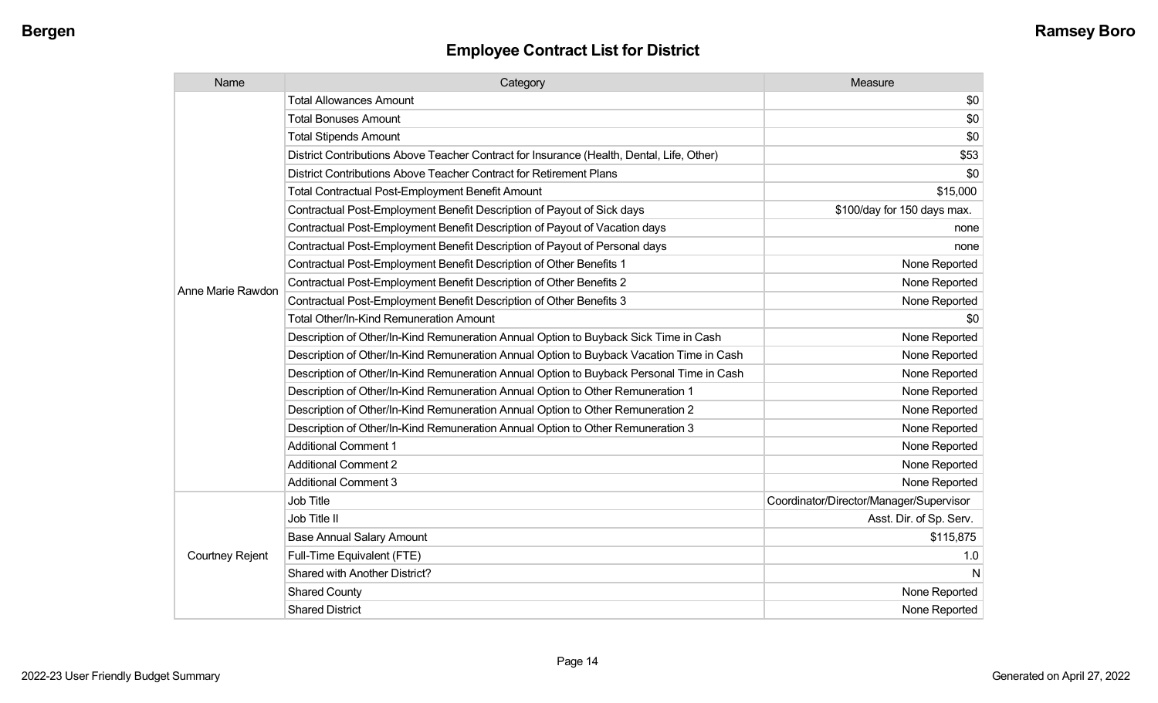| Name                   | Category                                                                                  | Measure                                 |
|------------------------|-------------------------------------------------------------------------------------------|-----------------------------------------|
|                        | <b>Total Allowances Amount</b>                                                            | \$0                                     |
|                        | <b>Total Bonuses Amount</b>                                                               | \$0                                     |
|                        | <b>Total Stipends Amount</b>                                                              | \$0                                     |
|                        | District Contributions Above Teacher Contract for Insurance (Health, Dental, Life, Other) | \$53                                    |
|                        | District Contributions Above Teacher Contract for Retirement Plans                        | \$0                                     |
|                        | <b>Total Contractual Post-Employment Benefit Amount</b>                                   | \$15,000                                |
|                        | Contractual Post-Employment Benefit Description of Payout of Sick days                    | \$100/day for 150 days max.             |
|                        | Contractual Post-Employment Benefit Description of Payout of Vacation days                | none                                    |
|                        | Contractual Post-Employment Benefit Description of Payout of Personal days                | none                                    |
|                        | Contractual Post-Employment Benefit Description of Other Benefits 1                       | None Reported                           |
| Anne Marie Rawdon      | Contractual Post-Employment Benefit Description of Other Benefits 2                       | None Reported                           |
|                        | Contractual Post-Employment Benefit Description of Other Benefits 3                       | None Reported                           |
|                        | <b>Total Other/In-Kind Remuneration Amount</b>                                            | \$0                                     |
|                        | Description of Other/In-Kind Remuneration Annual Option to Buyback Sick Time in Cash      | None Reported                           |
|                        | Description of Other/In-Kind Remuneration Annual Option to Buyback Vacation Time in Cash  | None Reported                           |
|                        | Description of Other/In-Kind Remuneration Annual Option to Buyback Personal Time in Cash  | None Reported                           |
|                        | Description of Other/In-Kind Remuneration Annual Option to Other Remuneration 1           | None Reported                           |
|                        | Description of Other/In-Kind Remuneration Annual Option to Other Remuneration 2           | None Reported                           |
|                        | Description of Other/In-Kind Remuneration Annual Option to Other Remuneration 3           | None Reported                           |
|                        | <b>Additional Comment 1</b>                                                               | None Reported                           |
|                        | <b>Additional Comment 2</b>                                                               | None Reported                           |
|                        | <b>Additional Comment 3</b>                                                               | None Reported                           |
|                        | Job Title                                                                                 | Coordinator/Director/Manager/Supervisor |
| <b>Courtney Rejent</b> | Job Title II                                                                              | Asst. Dir. of Sp. Serv.                 |
|                        | <b>Base Annual Salary Amount</b>                                                          | \$115,875                               |
|                        | Full-Time Equivalent (FTE)                                                                | 1.0                                     |
|                        | Shared with Another District?                                                             | N                                       |
|                        | <b>Shared County</b>                                                                      | None Reported                           |
|                        | <b>Shared District</b>                                                                    | None Reported                           |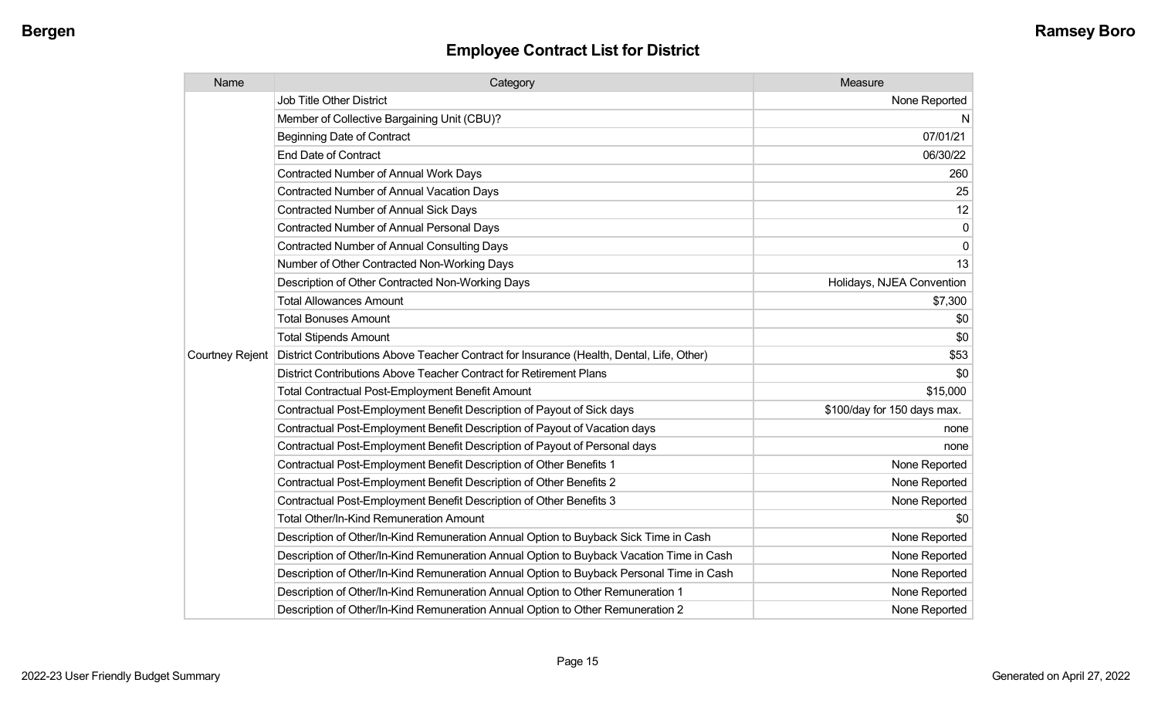| Name                   | Category                                                                                  | Measure                     |
|------------------------|-------------------------------------------------------------------------------------------|-----------------------------|
|                        | <b>Job Title Other District</b>                                                           | None Reported               |
|                        | Member of Collective Bargaining Unit (CBU)?                                               | N.                          |
|                        | <b>Beginning Date of Contract</b>                                                         | 07/01/21                    |
|                        | <b>End Date of Contract</b>                                                               | 06/30/22                    |
|                        | <b>Contracted Number of Annual Work Days</b>                                              | 260                         |
|                        | <b>Contracted Number of Annual Vacation Days</b>                                          | 25                          |
|                        | <b>Contracted Number of Annual Sick Days</b>                                              | 12                          |
|                        | <b>Contracted Number of Annual Personal Days</b>                                          | 0                           |
|                        | Contracted Number of Annual Consulting Days                                               | 0                           |
|                        | Number of Other Contracted Non-Working Days                                               | 13                          |
|                        | Description of Other Contracted Non-Working Days                                          | Holidays, NJEA Convention   |
|                        | <b>Total Allowances Amount</b>                                                            | \$7,300                     |
|                        | <b>Total Bonuses Amount</b>                                                               | \$0                         |
|                        | <b>Total Stipends Amount</b>                                                              | \$0                         |
| <b>Courtney Rejent</b> | District Contributions Above Teacher Contract for Insurance (Health, Dental, Life, Other) | \$53                        |
|                        | District Contributions Above Teacher Contract for Retirement Plans                        | \$0                         |
|                        | <b>Total Contractual Post-Employment Benefit Amount</b>                                   | \$15,000                    |
|                        | Contractual Post-Employment Benefit Description of Payout of Sick days                    | \$100/day for 150 days max. |
|                        | Contractual Post-Employment Benefit Description of Payout of Vacation days                | none                        |
|                        | Contractual Post-Employment Benefit Description of Payout of Personal days                | none                        |
|                        | Contractual Post-Employment Benefit Description of Other Benefits 1                       | None Reported               |
|                        | Contractual Post-Employment Benefit Description of Other Benefits 2                       | None Reported               |
|                        | Contractual Post-Employment Benefit Description of Other Benefits 3                       | None Reported               |
|                        | Total Other/In-Kind Remuneration Amount                                                   | \$0                         |
|                        | Description of Other/In-Kind Remuneration Annual Option to Buyback Sick Time in Cash      | None Reported               |
|                        | Description of Other/In-Kind Remuneration Annual Option to Buyback Vacation Time in Cash  | None Reported               |
|                        | Description of Other/In-Kind Remuneration Annual Option to Buyback Personal Time in Cash  | None Reported               |
|                        | Description of Other/In-Kind Remuneration Annual Option to Other Remuneration 1           | None Reported               |
|                        | Description of Other/In-Kind Remuneration Annual Option to Other Remuneration 2           | None Reported               |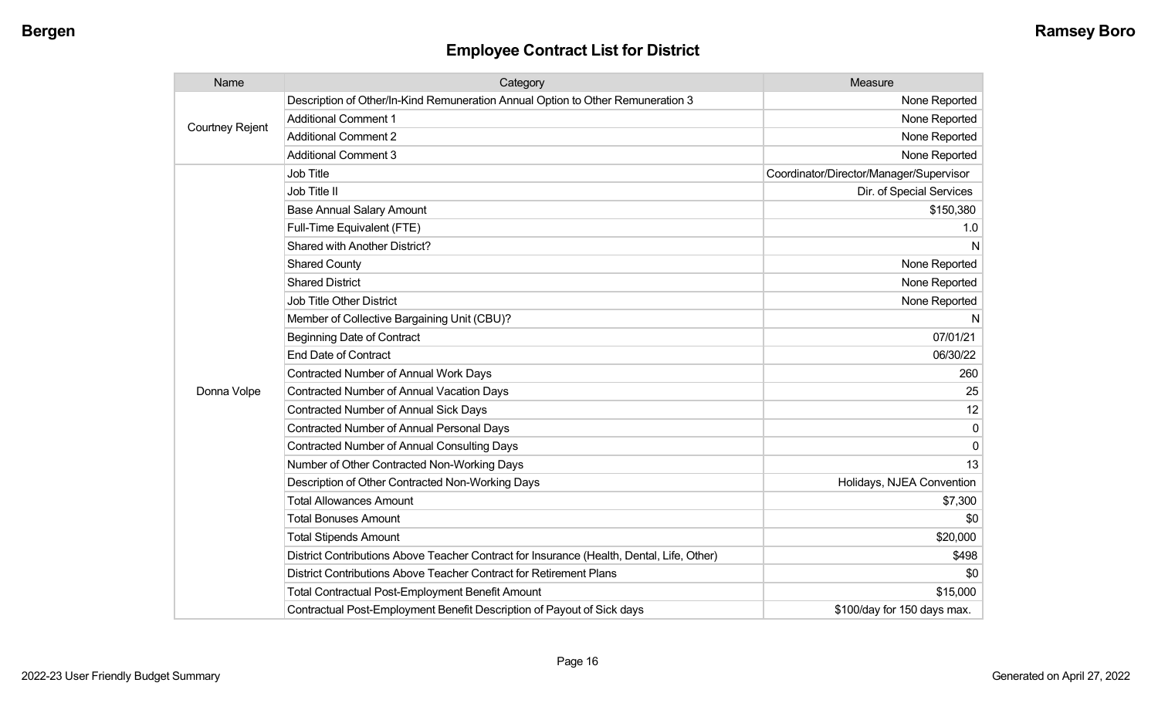| Name                   | Category                                                                                  | Measure                                 |
|------------------------|-------------------------------------------------------------------------------------------|-----------------------------------------|
|                        | Description of Other/In-Kind Remuneration Annual Option to Other Remuneration 3           | None Reported                           |
|                        | <b>Additional Comment 1</b>                                                               | None Reported                           |
| <b>Courtney Rejent</b> | <b>Additional Comment 2</b>                                                               | None Reported                           |
|                        | <b>Additional Comment 3</b>                                                               | None Reported                           |
|                        | Job Title                                                                                 | Coordinator/Director/Manager/Supervisor |
|                        | Job Title II                                                                              | Dir. of Special Services                |
|                        | <b>Base Annual Salary Amount</b>                                                          | \$150,380                               |
|                        | Full-Time Equivalent (FTE)                                                                | 1.0                                     |
|                        | Shared with Another District?                                                             | N                                       |
|                        | <b>Shared County</b>                                                                      | None Reported                           |
|                        | <b>Shared District</b>                                                                    | None Reported                           |
|                        | <b>Job Title Other District</b>                                                           | None Reported                           |
|                        | Member of Collective Bargaining Unit (CBU)?                                               | N                                       |
|                        | <b>Beginning Date of Contract</b>                                                         | 07/01/21                                |
|                        | <b>End Date of Contract</b>                                                               | 06/30/22                                |
|                        | <b>Contracted Number of Annual Work Days</b>                                              | 260                                     |
| Donna Volpe            | <b>Contracted Number of Annual Vacation Days</b>                                          | 25                                      |
|                        | <b>Contracted Number of Annual Sick Days</b>                                              | 12                                      |
|                        | <b>Contracted Number of Annual Personal Days</b>                                          | $\mathbf 0$                             |
|                        | <b>Contracted Number of Annual Consulting Days</b>                                        | $\mathbf{0}$                            |
|                        | Number of Other Contracted Non-Working Days                                               | 13                                      |
|                        | Description of Other Contracted Non-Working Days                                          | Holidays, NJEA Convention               |
|                        | <b>Total Allowances Amount</b>                                                            | \$7,300                                 |
|                        | <b>Total Bonuses Amount</b>                                                               | \$0                                     |
|                        | <b>Total Stipends Amount</b>                                                              | \$20,000                                |
|                        | District Contributions Above Teacher Contract for Insurance (Health, Dental, Life, Other) | \$498                                   |
|                        | District Contributions Above Teacher Contract for Retirement Plans                        | \$0                                     |
|                        | <b>Total Contractual Post-Employment Benefit Amount</b>                                   | \$15,000                                |
|                        | Contractual Post-Employment Benefit Description of Payout of Sick days                    | \$100/day for 150 days max.             |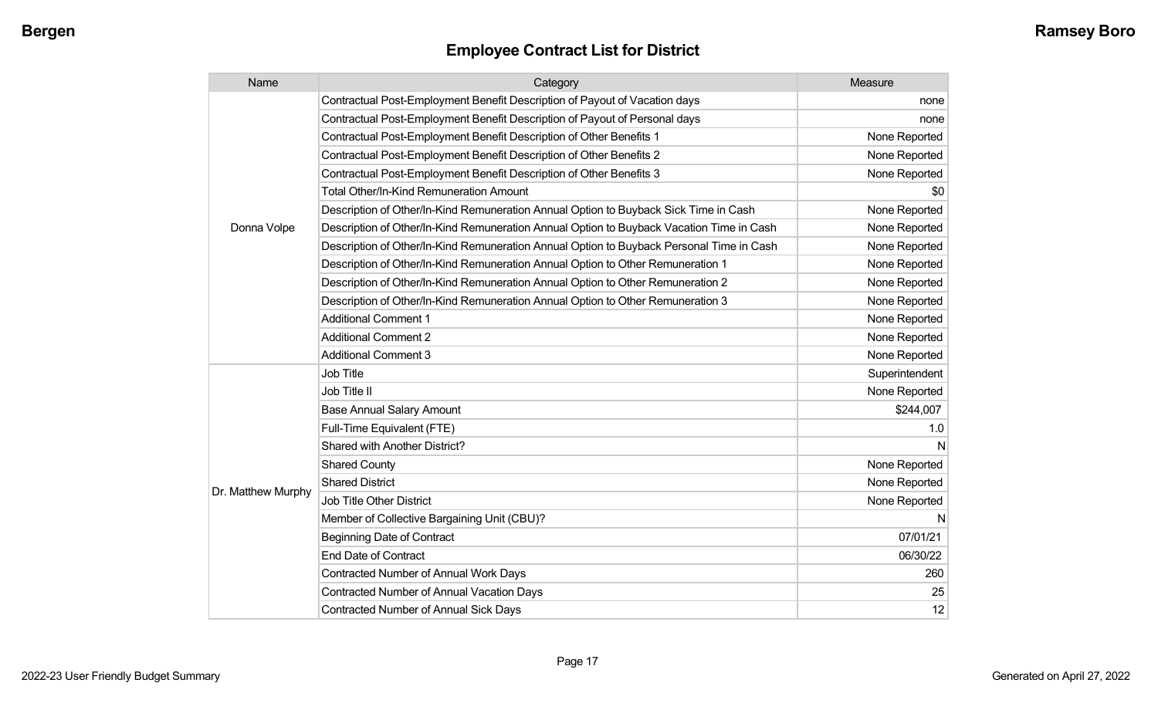| Name               | Category                                                                                 | Measure        |
|--------------------|------------------------------------------------------------------------------------------|----------------|
|                    | Contractual Post-Employment Benefit Description of Payout of Vacation days               | none           |
|                    | Contractual Post-Employment Benefit Description of Payout of Personal days               | none           |
|                    | Contractual Post-Employment Benefit Description of Other Benefits 1                      | None Reported  |
|                    | Contractual Post-Employment Benefit Description of Other Benefits 2                      | None Reported  |
|                    | Contractual Post-Employment Benefit Description of Other Benefits 3                      | None Reported  |
|                    | <b>Total Other/In-Kind Remuneration Amount</b>                                           | \$0            |
|                    | Description of Other/In-Kind Remuneration Annual Option to Buyback Sick Time in Cash     | None Reported  |
| Donna Volpe        | Description of Other/In-Kind Remuneration Annual Option to Buyback Vacation Time in Cash | None Reported  |
|                    | Description of Other/In-Kind Remuneration Annual Option to Buyback Personal Time in Cash | None Reported  |
|                    | Description of Other/In-Kind Remuneration Annual Option to Other Remuneration 1          | None Reported  |
|                    | Description of Other/In-Kind Remuneration Annual Option to Other Remuneration 2          | None Reported  |
|                    | Description of Other/In-Kind Remuneration Annual Option to Other Remuneration 3          | None Reported  |
|                    | <b>Additional Comment 1</b>                                                              | None Reported  |
|                    | <b>Additional Comment 2</b>                                                              | None Reported  |
|                    | <b>Additional Comment 3</b>                                                              | None Reported  |
|                    | Job Title                                                                                | Superintendent |
|                    | Job Title II                                                                             | None Reported  |
|                    | <b>Base Annual Salary Amount</b>                                                         | \$244,007      |
|                    | Full-Time Equivalent (FTE)                                                               | 1.0            |
|                    | Shared with Another District?                                                            | N              |
|                    | <b>Shared County</b>                                                                     | None Reported  |
|                    | <b>Shared District</b>                                                                   | None Reported  |
| Dr. Matthew Murphy | Job Title Other District                                                                 | None Reported  |
|                    | Member of Collective Bargaining Unit (CBU)?                                              | N              |
|                    | <b>Beginning Date of Contract</b>                                                        | 07/01/21       |
|                    | <b>End Date of Contract</b>                                                              | 06/30/22       |
|                    | Contracted Number of Annual Work Days                                                    | 260            |
|                    | <b>Contracted Number of Annual Vacation Days</b>                                         | 25             |
|                    | <b>Contracted Number of Annual Sick Days</b>                                             | 12             |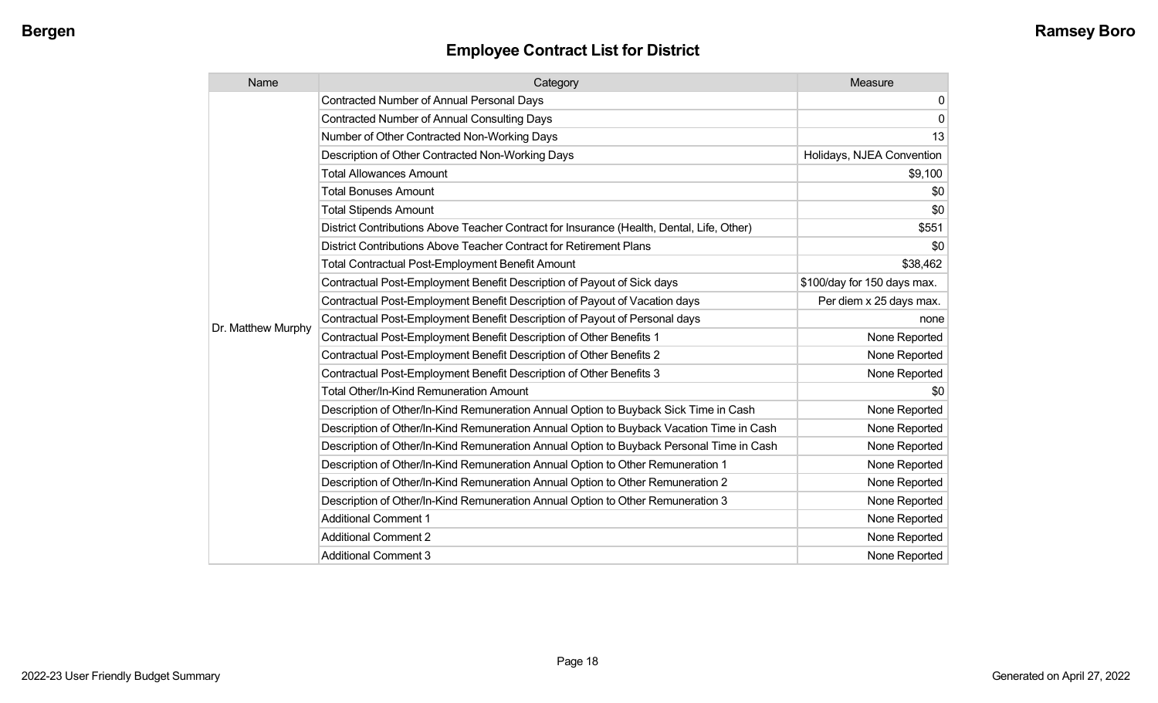| Name               | Category                                                                                  | Measure                     |
|--------------------|-------------------------------------------------------------------------------------------|-----------------------------|
|                    | <b>Contracted Number of Annual Personal Days</b>                                          | $\mathbf 0$                 |
|                    | <b>Contracted Number of Annual Consulting Days</b>                                        | $\mathbf 0$                 |
|                    | Number of Other Contracted Non-Working Days                                               | 13                          |
|                    | Description of Other Contracted Non-Working Days                                          | Holidays, NJEA Convention   |
|                    | <b>Total Allowances Amount</b>                                                            | \$9,100                     |
|                    | <b>Total Bonuses Amount</b>                                                               | \$0                         |
|                    | <b>Total Stipends Amount</b>                                                              | \$0                         |
|                    | District Contributions Above Teacher Contract for Insurance (Health, Dental, Life, Other) | \$551                       |
|                    | District Contributions Above Teacher Contract for Retirement Plans                        | \$0                         |
|                    | <b>Total Contractual Post-Employment Benefit Amount</b>                                   | \$38,462                    |
|                    | Contractual Post-Employment Benefit Description of Payout of Sick days                    | \$100/day for 150 days max. |
|                    | Contractual Post-Employment Benefit Description of Payout of Vacation days                | Per diem x 25 days max.     |
| Dr. Matthew Murphy | Contractual Post-Employment Benefit Description of Payout of Personal days                | none                        |
|                    | Contractual Post-Employment Benefit Description of Other Benefits 1                       | None Reported               |
|                    | Contractual Post-Employment Benefit Description of Other Benefits 2                       | None Reported               |
|                    | Contractual Post-Employment Benefit Description of Other Benefits 3                       | None Reported               |
|                    | Total Other/In-Kind Remuneration Amount                                                   | \$0                         |
|                    | Description of Other/In-Kind Remuneration Annual Option to Buyback Sick Time in Cash      | None Reported               |
|                    | Description of Other/In-Kind Remuneration Annual Option to Buyback Vacation Time in Cash  | None Reported               |
|                    | Description of Other/In-Kind Remuneration Annual Option to Buyback Personal Time in Cash  | None Reported               |
|                    | Description of Other/In-Kind Remuneration Annual Option to Other Remuneration 1           | None Reported               |
|                    | Description of Other/In-Kind Remuneration Annual Option to Other Remuneration 2           | None Reported               |
|                    | Description of Other/In-Kind Remuneration Annual Option to Other Remuneration 3           | None Reported               |
|                    | <b>Additional Comment 1</b>                                                               | None Reported               |
|                    | <b>Additional Comment 2</b>                                                               | None Reported               |
|                    | <b>Additional Comment 3</b>                                                               | None Reported               |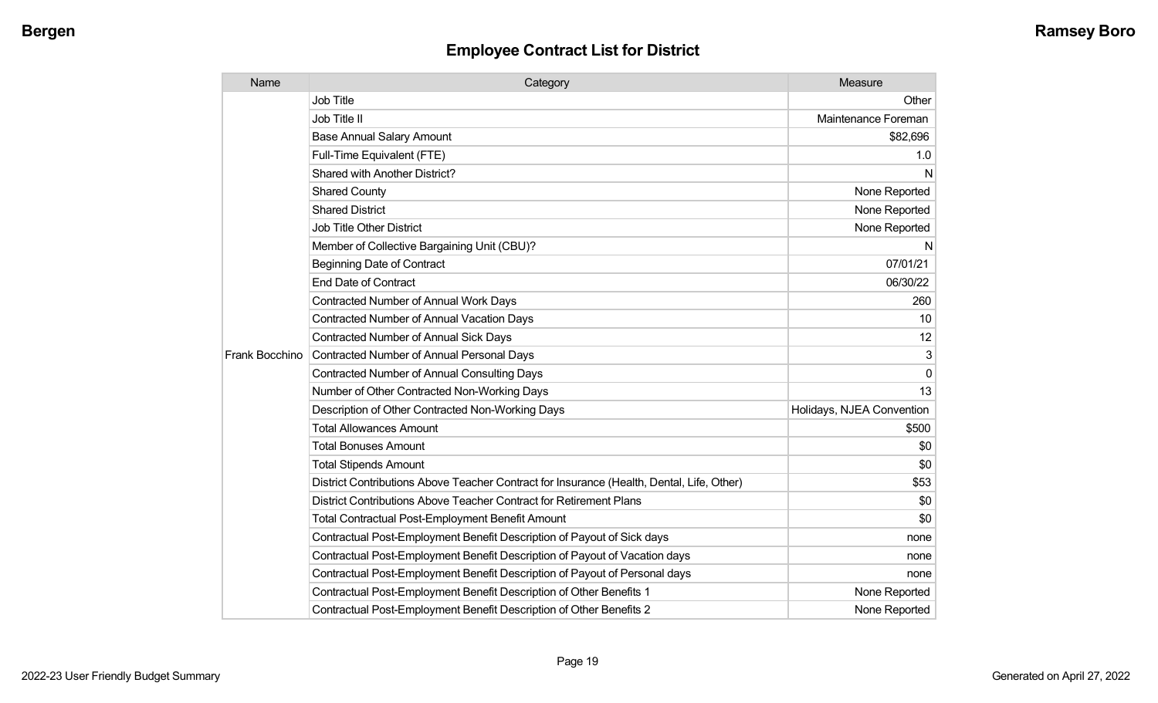| Name           | Category                                                                                  | Measure                   |
|----------------|-------------------------------------------------------------------------------------------|---------------------------|
|                | <b>Job Title</b>                                                                          | Other                     |
|                | Job Title II                                                                              | Maintenance Foreman       |
|                | <b>Base Annual Salary Amount</b>                                                          | \$82,696                  |
|                | Full-Time Equivalent (FTE)                                                                | 1.0                       |
|                | <b>Shared with Another District?</b>                                                      | N                         |
|                | <b>Shared County</b>                                                                      | None Reported             |
|                | <b>Shared District</b>                                                                    | None Reported             |
|                | <b>Job Title Other District</b>                                                           | None Reported             |
|                | Member of Collective Bargaining Unit (CBU)?                                               | N                         |
|                | <b>Beginning Date of Contract</b>                                                         | 07/01/21                  |
|                | <b>End Date of Contract</b>                                                               | 06/30/22                  |
|                | Contracted Number of Annual Work Days                                                     | 260                       |
|                | <b>Contracted Number of Annual Vacation Days</b>                                          | 10                        |
|                | <b>Contracted Number of Annual Sick Days</b>                                              | 12                        |
| Frank Bocchino | Contracted Number of Annual Personal Days                                                 | 3                         |
|                | <b>Contracted Number of Annual Consulting Days</b>                                        | $\mathbf 0$               |
|                | Number of Other Contracted Non-Working Days                                               | 13                        |
|                | Description of Other Contracted Non-Working Days                                          | Holidays, NJEA Convention |
|                | <b>Total Allowances Amount</b>                                                            | \$500                     |
|                | <b>Total Bonuses Amount</b>                                                               | \$0                       |
|                | <b>Total Stipends Amount</b>                                                              | \$0                       |
|                | District Contributions Above Teacher Contract for Insurance (Health, Dental, Life, Other) | \$53                      |
|                | District Contributions Above Teacher Contract for Retirement Plans                        | \$0                       |
|                | <b>Total Contractual Post-Employment Benefit Amount</b>                                   | \$0                       |
|                | Contractual Post-Employment Benefit Description of Payout of Sick days                    | none                      |
|                | Contractual Post-Employment Benefit Description of Payout of Vacation days                | none                      |
|                | Contractual Post-Employment Benefit Description of Payout of Personal days                | none                      |
|                | Contractual Post-Employment Benefit Description of Other Benefits 1                       | None Reported             |
|                | Contractual Post-Employment Benefit Description of Other Benefits 2                       | None Reported             |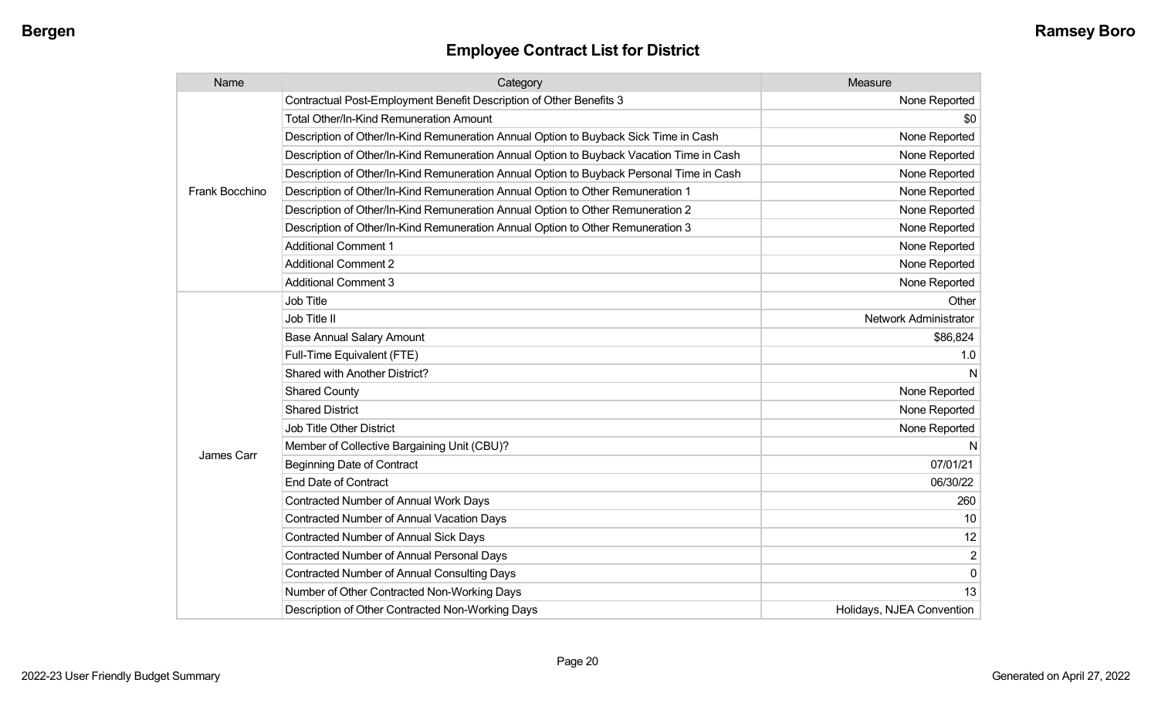| Name           | Category                                                                                 | Measure                   |
|----------------|------------------------------------------------------------------------------------------|---------------------------|
|                | Contractual Post-Employment Benefit Description of Other Benefits 3                      | None Reported             |
|                | <b>Total Other/In-Kind Remuneration Amount</b>                                           | \$0                       |
|                | Description of Other/In-Kind Remuneration Annual Option to Buyback Sick Time in Cash     | None Reported             |
|                | Description of Other/In-Kind Remuneration Annual Option to Buyback Vacation Time in Cash | None Reported             |
|                | Description of Other/In-Kind Remuneration Annual Option to Buyback Personal Time in Cash | None Reported             |
| Frank Bocchino | Description of Other/In-Kind Remuneration Annual Option to Other Remuneration 1          | None Reported             |
|                | Description of Other/In-Kind Remuneration Annual Option to Other Remuneration 2          | None Reported             |
|                | Description of Other/In-Kind Remuneration Annual Option to Other Remuneration 3          | None Reported             |
|                | <b>Additional Comment 1</b>                                                              | None Reported             |
|                | <b>Additional Comment 2</b>                                                              | None Reported             |
|                | <b>Additional Comment 3</b>                                                              | None Reported             |
|                | <b>Job Title</b>                                                                         | Other                     |
|                | Job Title II                                                                             | Network Administrator     |
|                | <b>Base Annual Salary Amount</b>                                                         | \$86,824                  |
|                | Full-Time Equivalent (FTE)                                                               | 1.0                       |
|                | Shared with Another District?                                                            | N                         |
|                | <b>Shared County</b>                                                                     | None Reported             |
|                | <b>Shared District</b>                                                                   | None Reported             |
|                | <b>Job Title Other District</b>                                                          | None Reported             |
|                | Member of Collective Bargaining Unit (CBU)?                                              | N                         |
| James Carr     | <b>Beginning Date of Contract</b>                                                        | 07/01/21                  |
|                | <b>End Date of Contract</b>                                                              | 06/30/22                  |
|                | Contracted Number of Annual Work Days                                                    | 260                       |
|                | Contracted Number of Annual Vacation Days                                                | 10                        |
|                | <b>Contracted Number of Annual Sick Days</b>                                             | 12                        |
|                | Contracted Number of Annual Personal Days                                                | $\overline{2}$            |
|                | <b>Contracted Number of Annual Consulting Days</b>                                       | $\overline{0}$            |
|                | Number of Other Contracted Non-Working Days                                              | 13                        |
|                | Description of Other Contracted Non-Working Days                                         | Holidays, NJEA Convention |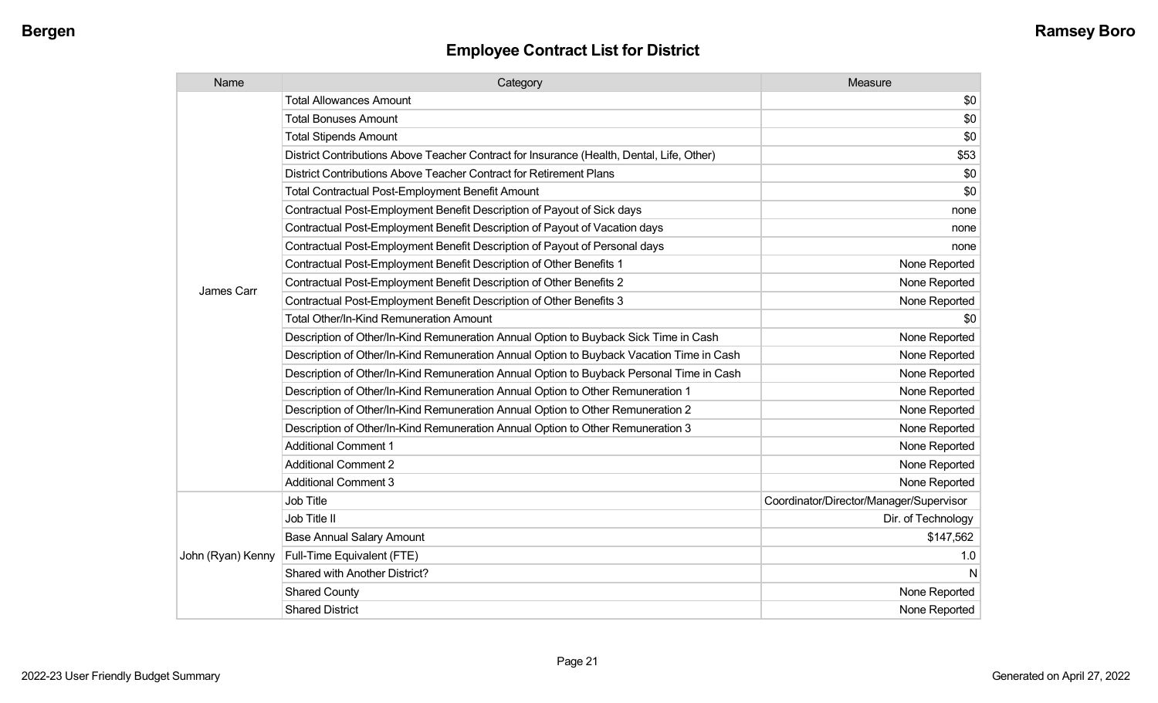| Name              | Category                                                                                  | Measure                                 |
|-------------------|-------------------------------------------------------------------------------------------|-----------------------------------------|
|                   | <b>Total Allowances Amount</b>                                                            | \$0                                     |
|                   | <b>Total Bonuses Amount</b>                                                               | \$0                                     |
|                   | <b>Total Stipends Amount</b>                                                              | \$0                                     |
|                   | District Contributions Above Teacher Contract for Insurance (Health, Dental, Life, Other) | \$53                                    |
|                   | District Contributions Above Teacher Contract for Retirement Plans                        | \$0                                     |
|                   | <b>Total Contractual Post-Employment Benefit Amount</b>                                   | \$0                                     |
|                   | Contractual Post-Employment Benefit Description of Payout of Sick days                    | none                                    |
|                   | Contractual Post-Employment Benefit Description of Payout of Vacation days                | none                                    |
|                   | Contractual Post-Employment Benefit Description of Payout of Personal days                | none                                    |
|                   | Contractual Post-Employment Benefit Description of Other Benefits 1                       | None Reported                           |
| James Carr        | Contractual Post-Employment Benefit Description of Other Benefits 2                       | None Reported                           |
|                   | Contractual Post-Employment Benefit Description of Other Benefits 3                       | None Reported                           |
|                   | Total Other/In-Kind Remuneration Amount                                                   | \$0                                     |
|                   | Description of Other/In-Kind Remuneration Annual Option to Buyback Sick Time in Cash      | None Reported                           |
|                   | Description of Other/In-Kind Remuneration Annual Option to Buyback Vacation Time in Cash  | None Reported                           |
|                   | Description of Other/In-Kind Remuneration Annual Option to Buyback Personal Time in Cash  | None Reported                           |
|                   | Description of Other/In-Kind Remuneration Annual Option to Other Remuneration 1           | None Reported                           |
|                   | Description of Other/In-Kind Remuneration Annual Option to Other Remuneration 2           | None Reported                           |
|                   | Description of Other/In-Kind Remuneration Annual Option to Other Remuneration 3           | None Reported                           |
|                   | <b>Additional Comment 1</b>                                                               | None Reported                           |
|                   | <b>Additional Comment 2</b>                                                               | None Reported                           |
|                   | <b>Additional Comment 3</b>                                                               | None Reported                           |
|                   | Job Title                                                                                 | Coordinator/Director/Manager/Supervisor |
|                   | Job Title II                                                                              | Dir. of Technology                      |
|                   | <b>Base Annual Salary Amount</b>                                                          | \$147,562                               |
| John (Ryan) Kenny | Full-Time Equivalent (FTE)                                                                | 1.0                                     |
|                   | <b>Shared with Another District?</b>                                                      | N                                       |
|                   | <b>Shared County</b>                                                                      | None Reported                           |
|                   | <b>Shared District</b>                                                                    | None Reported                           |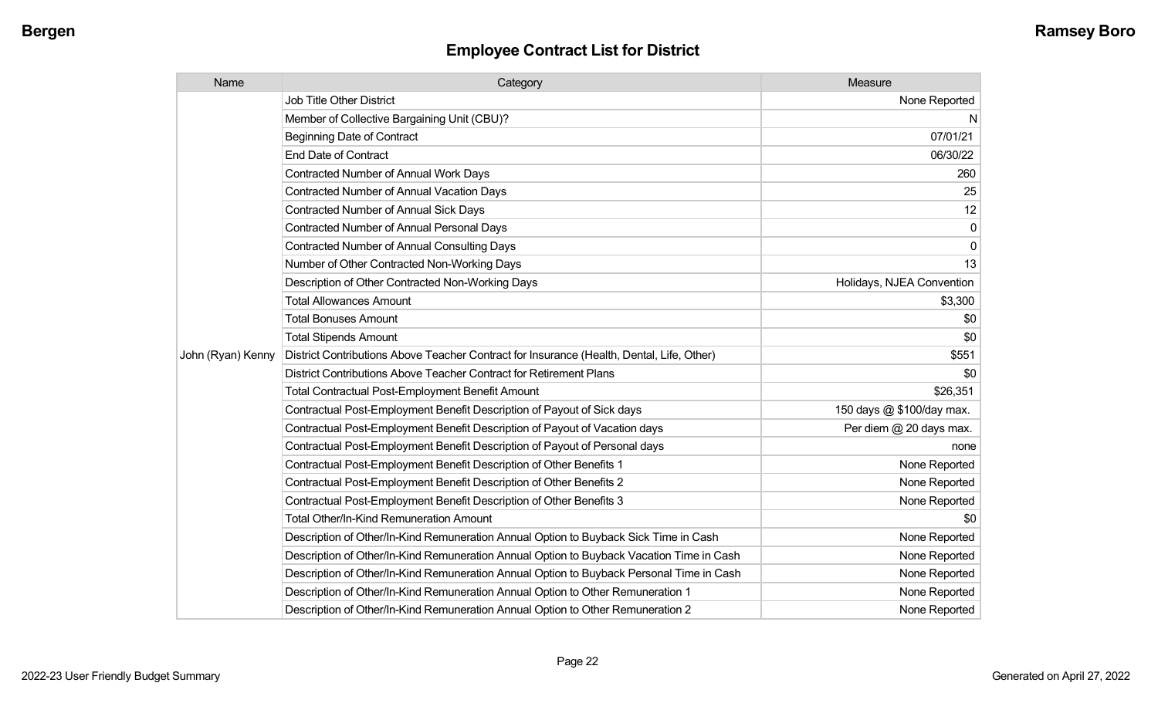| Name              | Category                                                                                  | Measure                   |
|-------------------|-------------------------------------------------------------------------------------------|---------------------------|
|                   | <b>Job Title Other District</b>                                                           | None Reported             |
|                   | Member of Collective Bargaining Unit (CBU)?                                               | N                         |
|                   | <b>Beginning Date of Contract</b>                                                         | 07/01/21                  |
|                   | <b>End Date of Contract</b>                                                               | 06/30/22                  |
|                   | Contracted Number of Annual Work Days                                                     | 260                       |
|                   | Contracted Number of Annual Vacation Days                                                 | 25                        |
|                   | Contracted Number of Annual Sick Days                                                     | 12                        |
|                   | Contracted Number of Annual Personal Days                                                 | 0                         |
|                   | Contracted Number of Annual Consulting Days                                               | $\mathbf 0$               |
|                   | Number of Other Contracted Non-Working Days                                               | 13                        |
|                   | Description of Other Contracted Non-Working Days                                          | Holidays, NJEA Convention |
|                   | <b>Total Allowances Amount</b>                                                            | \$3,300                   |
|                   | <b>Total Bonuses Amount</b>                                                               | \$0                       |
|                   | <b>Total Stipends Amount</b>                                                              | \$0                       |
| John (Ryan) Kenny | District Contributions Above Teacher Contract for Insurance (Health, Dental, Life, Other) | \$551                     |
|                   | District Contributions Above Teacher Contract for Retirement Plans                        | \$0                       |
|                   | <b>Total Contractual Post-Employment Benefit Amount</b>                                   | \$26,351                  |
|                   | Contractual Post-Employment Benefit Description of Payout of Sick days                    | 150 days @ \$100/day max. |
|                   | Contractual Post-Employment Benefit Description of Payout of Vacation days                | Per diem @ 20 days max.   |
|                   | Contractual Post-Employment Benefit Description of Payout of Personal days                | none                      |
|                   | Contractual Post-Employment Benefit Description of Other Benefits 1                       | None Reported             |
|                   | Contractual Post-Employment Benefit Description of Other Benefits 2                       | None Reported             |
|                   | Contractual Post-Employment Benefit Description of Other Benefits 3                       | None Reported             |
|                   | <b>Total Other/In-Kind Remuneration Amount</b>                                            | \$0                       |
|                   | Description of Other/In-Kind Remuneration Annual Option to Buyback Sick Time in Cash      | None Reported             |
|                   | Description of Other/In-Kind Remuneration Annual Option to Buyback Vacation Time in Cash  | None Reported             |
|                   | Description of Other/In-Kind Remuneration Annual Option to Buyback Personal Time in Cash  | None Reported             |
|                   | Description of Other/In-Kind Remuneration Annual Option to Other Remuneration 1           | None Reported             |
|                   | Description of Other/In-Kind Remuneration Annual Option to Other Remuneration 2           | None Reported             |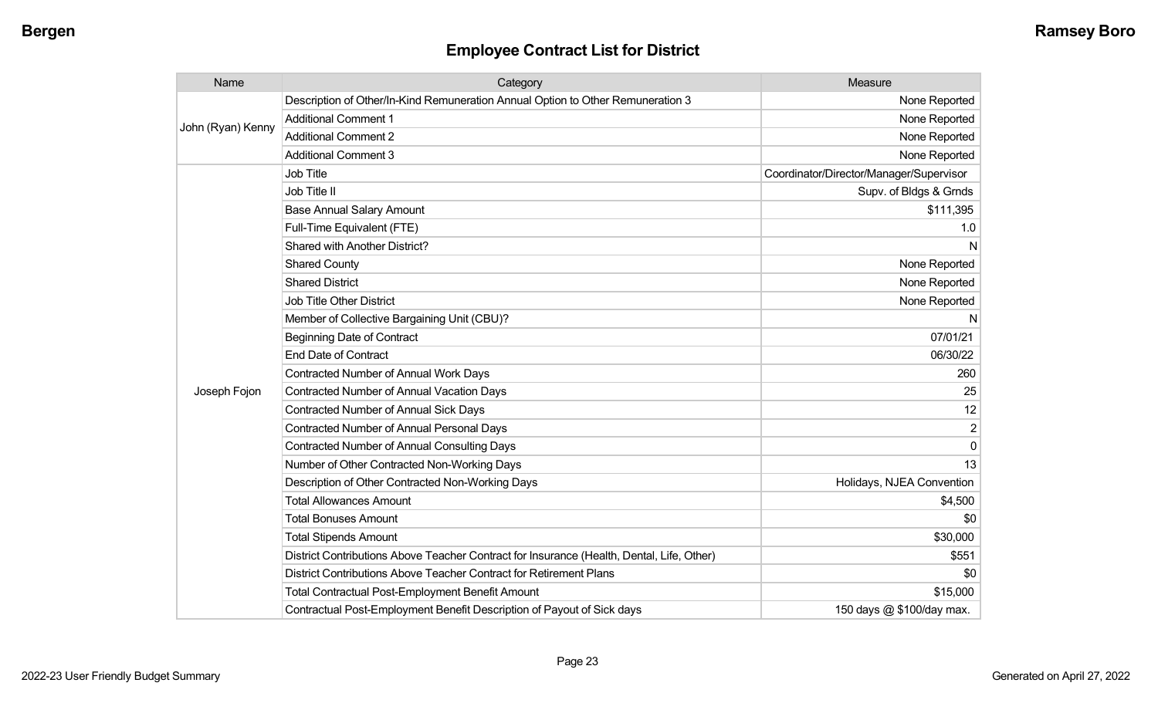| Name              | Category                                                                                  | Measure                                 |
|-------------------|-------------------------------------------------------------------------------------------|-----------------------------------------|
|                   | Description of Other/In-Kind Remuneration Annual Option to Other Remuneration 3           | None Reported                           |
|                   | <b>Additional Comment 1</b>                                                               | None Reported                           |
| John (Ryan) Kenny | <b>Additional Comment 2</b>                                                               | None Reported                           |
|                   | <b>Additional Comment 3</b>                                                               | None Reported                           |
|                   | Job Title                                                                                 | Coordinator/Director/Manager/Supervisor |
|                   | Job Title II                                                                              | Supv. of Bldgs & Grnds                  |
|                   | <b>Base Annual Salary Amount</b>                                                          | \$111,395                               |
|                   | Full-Time Equivalent (FTE)                                                                | 1.0                                     |
|                   | Shared with Another District?                                                             | N                                       |
|                   | <b>Shared County</b>                                                                      | None Reported                           |
|                   | <b>Shared District</b>                                                                    | None Reported                           |
|                   | <b>Job Title Other District</b>                                                           | None Reported                           |
|                   | Member of Collective Bargaining Unit (CBU)?                                               | N                                       |
|                   | <b>Beginning Date of Contract</b>                                                         | 07/01/21                                |
|                   | End Date of Contract                                                                      | 06/30/22                                |
|                   | Contracted Number of Annual Work Days                                                     | 260                                     |
| Joseph Fojon      | <b>Contracted Number of Annual Vacation Days</b>                                          | 25                                      |
|                   | <b>Contracted Number of Annual Sick Days</b>                                              | 12                                      |
|                   | Contracted Number of Annual Personal Days                                                 | $\overline{2}$                          |
|                   | <b>Contracted Number of Annual Consulting Days</b>                                        | $\Omega$                                |
|                   | Number of Other Contracted Non-Working Days                                               | 13                                      |
|                   | Description of Other Contracted Non-Working Days                                          | Holidays, NJEA Convention               |
|                   | <b>Total Allowances Amount</b>                                                            | \$4,500                                 |
|                   | <b>Total Bonuses Amount</b>                                                               | \$0                                     |
|                   | <b>Total Stipends Amount</b>                                                              | \$30,000                                |
|                   | District Contributions Above Teacher Contract for Insurance (Health, Dental, Life, Other) | \$551                                   |
|                   | District Contributions Above Teacher Contract for Retirement Plans                        | \$0                                     |
|                   | <b>Total Contractual Post-Employment Benefit Amount</b>                                   | \$15,000                                |
|                   | Contractual Post-Employment Benefit Description of Payout of Sick days                    | 150 days @ \$100/day max.               |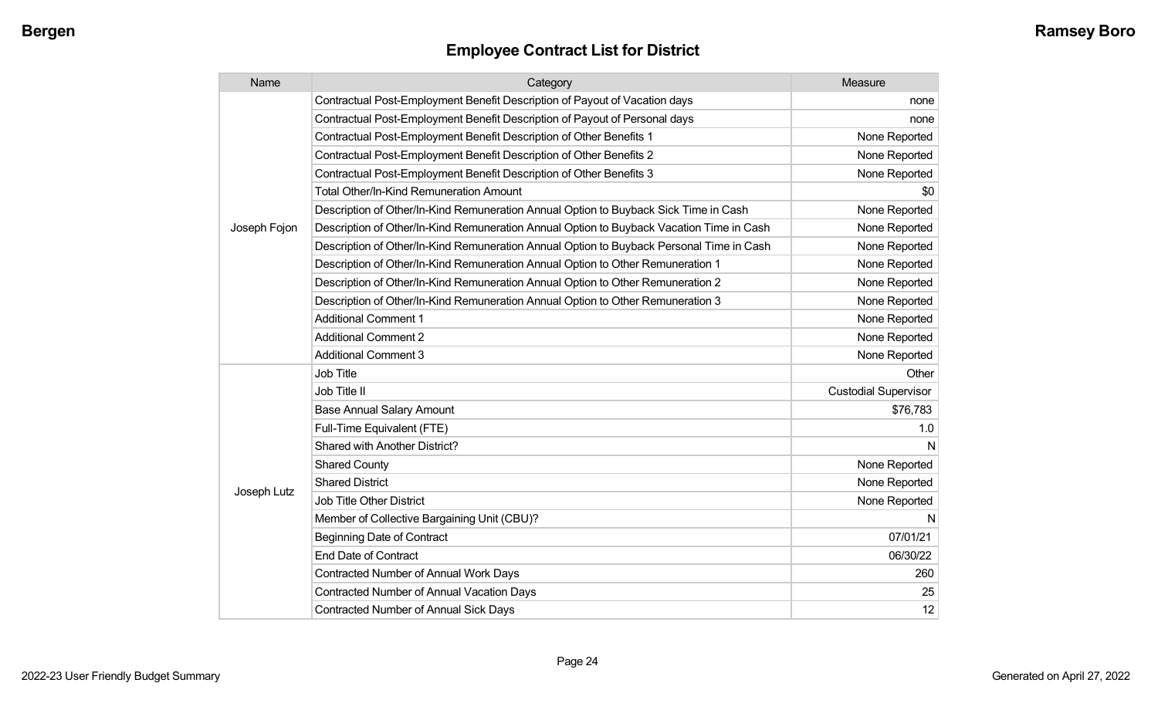| Name         | Category                                                                                 | Measure                     |
|--------------|------------------------------------------------------------------------------------------|-----------------------------|
|              | Contractual Post-Employment Benefit Description of Payout of Vacation days               | none                        |
|              | Contractual Post-Employment Benefit Description of Payout of Personal days               | none                        |
|              | Contractual Post-Employment Benefit Description of Other Benefits 1                      | None Reported               |
|              | Contractual Post-Employment Benefit Description of Other Benefits 2                      | None Reported               |
|              | Contractual Post-Employment Benefit Description of Other Benefits 3                      | None Reported               |
|              | <b>Total Other/In-Kind Remuneration Amount</b>                                           | \$0                         |
|              | Description of Other/In-Kind Remuneration Annual Option to Buyback Sick Time in Cash     | None Reported               |
| Joseph Fojon | Description of Other/In-Kind Remuneration Annual Option to Buyback Vacation Time in Cash | None Reported               |
|              | Description of Other/In-Kind Remuneration Annual Option to Buyback Personal Time in Cash | None Reported               |
|              | Description of Other/In-Kind Remuneration Annual Option to Other Remuneration 1          | None Reported               |
|              | Description of Other/In-Kind Remuneration Annual Option to Other Remuneration 2          | None Reported               |
|              | Description of Other/In-Kind Remuneration Annual Option to Other Remuneration 3          | None Reported               |
|              | <b>Additional Comment 1</b>                                                              | None Reported               |
|              | <b>Additional Comment 2</b>                                                              | None Reported               |
|              | <b>Additional Comment 3</b>                                                              | None Reported               |
|              | Job Title                                                                                | Other                       |
|              | Job Title II                                                                             | <b>Custodial Supervisor</b> |
|              | <b>Base Annual Salary Amount</b>                                                         | \$76,783                    |
|              | Full-Time Equivalent (FTE)                                                               | 1.0                         |
|              | Shared with Another District?                                                            | N                           |
|              | <b>Shared County</b>                                                                     | None Reported               |
|              | <b>Shared District</b>                                                                   | None Reported               |
| Joseph Lutz  | Job Title Other District                                                                 | None Reported               |
|              | Member of Collective Bargaining Unit (CBU)?                                              | N                           |
|              | <b>Beginning Date of Contract</b>                                                        | 07/01/21                    |
|              | <b>End Date of Contract</b>                                                              | 06/30/22                    |
|              | Contracted Number of Annual Work Days                                                    | 260                         |
|              | <b>Contracted Number of Annual Vacation Days</b>                                         | 25                          |
|              | Contracted Number of Annual Sick Days                                                    | 12                          |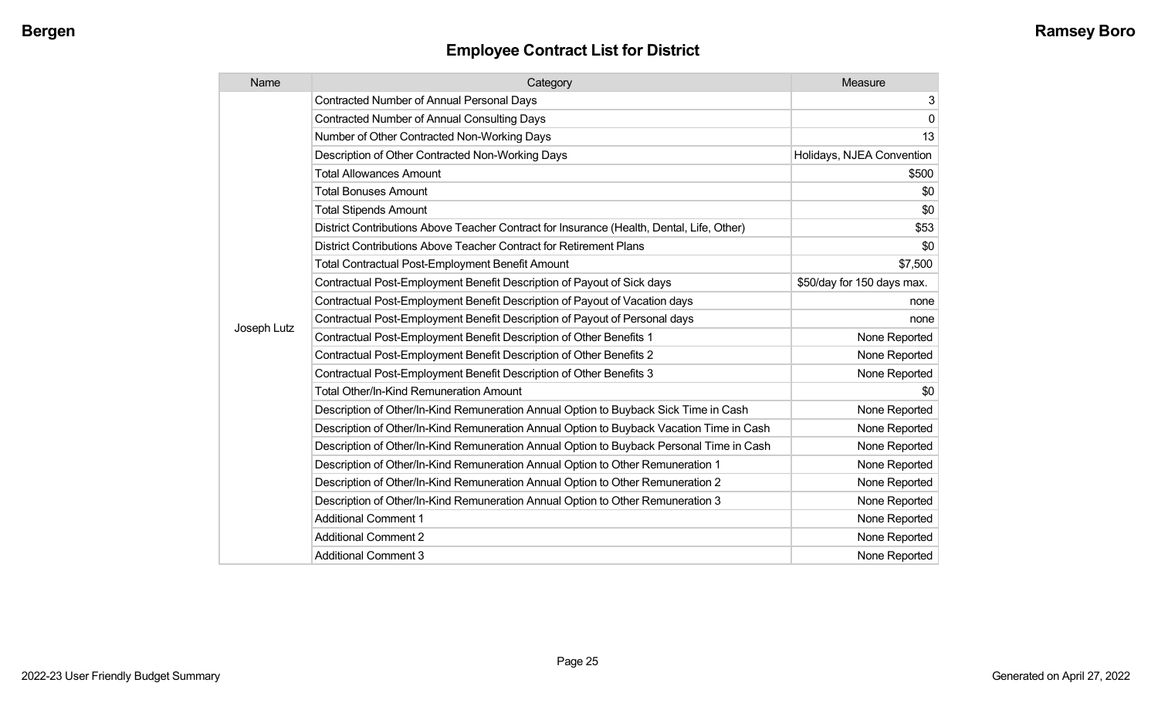| Name        | Category                                                                                  | Measure                    |
|-------------|-------------------------------------------------------------------------------------------|----------------------------|
|             | <b>Contracted Number of Annual Personal Days</b>                                          | 3                          |
|             | <b>Contracted Number of Annual Consulting Days</b>                                        | $\mathbf 0$                |
|             | Number of Other Contracted Non-Working Days                                               | 13                         |
|             | Description of Other Contracted Non-Working Days                                          | Holidays, NJEA Convention  |
|             | <b>Total Allowances Amount</b>                                                            | \$500                      |
|             | <b>Total Bonuses Amount</b>                                                               | \$0                        |
|             | <b>Total Stipends Amount</b>                                                              | \$0                        |
|             | District Contributions Above Teacher Contract for Insurance (Health, Dental, Life, Other) | \$53                       |
|             | District Contributions Above Teacher Contract for Retirement Plans                        | \$0                        |
|             | <b>Total Contractual Post-Employment Benefit Amount</b>                                   | \$7,500                    |
|             | Contractual Post-Employment Benefit Description of Payout of Sick days                    | \$50/day for 150 days max. |
|             | Contractual Post-Employment Benefit Description of Payout of Vacation days                | none                       |
|             | Contractual Post-Employment Benefit Description of Payout of Personal days                | none                       |
| Joseph Lutz | Contractual Post-Employment Benefit Description of Other Benefits 1                       | None Reported              |
|             | Contractual Post-Employment Benefit Description of Other Benefits 2                       | None Reported              |
|             | Contractual Post-Employment Benefit Description of Other Benefits 3                       | None Reported              |
|             | Total Other/In-Kind Remuneration Amount                                                   | \$0                        |
|             | Description of Other/In-Kind Remuneration Annual Option to Buyback Sick Time in Cash      | None Reported              |
|             | Description of Other/In-Kind Remuneration Annual Option to Buyback Vacation Time in Cash  | None Reported              |
|             | Description of Other/In-Kind Remuneration Annual Option to Buyback Personal Time in Cash  | None Reported              |
|             | Description of Other/In-Kind Remuneration Annual Option to Other Remuneration 1           | None Reported              |
|             | Description of Other/In-Kind Remuneration Annual Option to Other Remuneration 2           | None Reported              |
|             | Description of Other/In-Kind Remuneration Annual Option to Other Remuneration 3           | None Reported              |
|             | <b>Additional Comment 1</b>                                                               | None Reported              |
|             | <b>Additional Comment 2</b>                                                               | None Reported              |
|             | <b>Additional Comment 3</b>                                                               | None Reported              |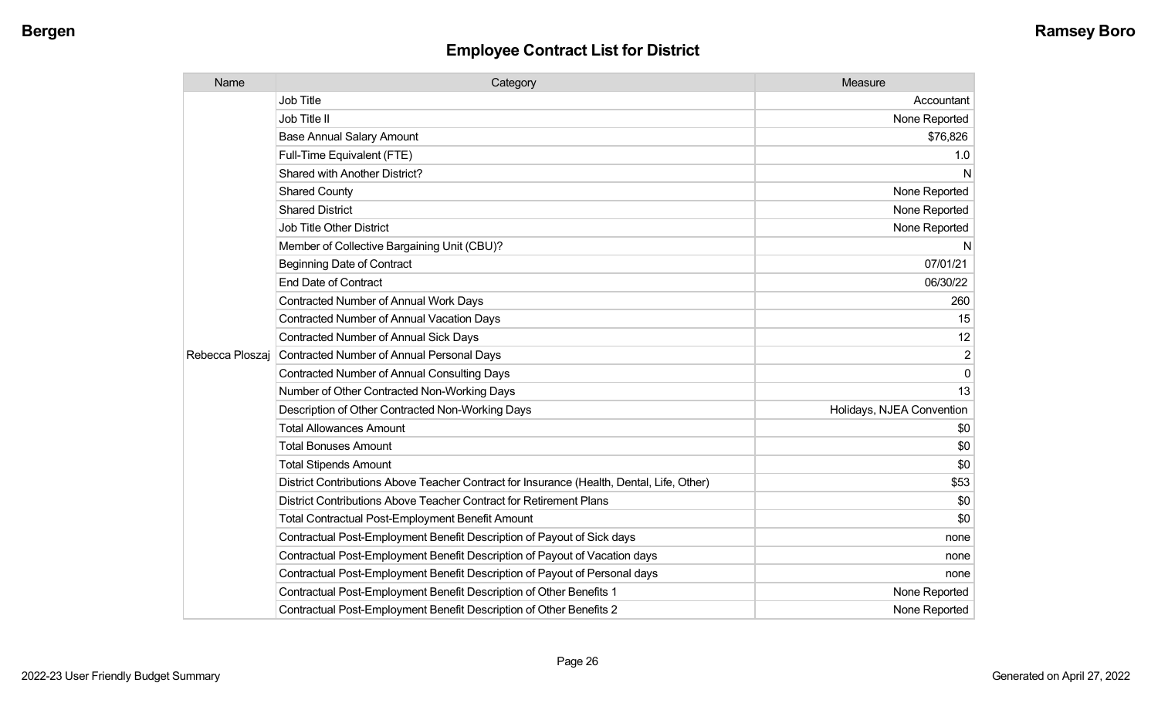| Name            | Category                                                                                  | Measure                   |
|-----------------|-------------------------------------------------------------------------------------------|---------------------------|
|                 | Job Title                                                                                 | Accountant                |
|                 | Job Title II                                                                              | None Reported             |
|                 | <b>Base Annual Salary Amount</b>                                                          | \$76,826                  |
|                 | Full-Time Equivalent (FTE)                                                                | 1.0                       |
|                 | Shared with Another District?                                                             | N                         |
|                 | <b>Shared County</b>                                                                      | None Reported             |
|                 | <b>Shared District</b>                                                                    | None Reported             |
|                 | Job Title Other District                                                                  | None Reported             |
|                 | Member of Collective Bargaining Unit (CBU)?                                               | N                         |
|                 | <b>Beginning Date of Contract</b>                                                         | 07/01/21                  |
|                 | <b>End Date of Contract</b>                                                               | 06/30/22                  |
|                 | <b>Contracted Number of Annual Work Days</b>                                              | 260                       |
|                 | <b>Contracted Number of Annual Vacation Days</b>                                          | 15                        |
|                 | <b>Contracted Number of Annual Sick Days</b>                                              | 12                        |
| Rebecca Ploszaj | Contracted Number of Annual Personal Days                                                 | $\overline{2}$            |
|                 | <b>Contracted Number of Annual Consulting Days</b>                                        | $\mathbf 0$               |
|                 | Number of Other Contracted Non-Working Days                                               | 13                        |
|                 | Description of Other Contracted Non-Working Days                                          | Holidays, NJEA Convention |
|                 | <b>Total Allowances Amount</b>                                                            | \$0                       |
|                 | <b>Total Bonuses Amount</b>                                                               | \$0                       |
|                 | <b>Total Stipends Amount</b>                                                              | \$0                       |
|                 | District Contributions Above Teacher Contract for Insurance (Health, Dental, Life, Other) | \$53                      |
|                 | District Contributions Above Teacher Contract for Retirement Plans                        | \$0                       |
|                 | Total Contractual Post-Employment Benefit Amount                                          | \$0                       |
|                 | Contractual Post-Employment Benefit Description of Payout of Sick days                    | none                      |
|                 | Contractual Post-Employment Benefit Description of Payout of Vacation days                | none                      |
|                 | Contractual Post-Employment Benefit Description of Payout of Personal days                | none                      |
|                 | Contractual Post-Employment Benefit Description of Other Benefits 1                       | None Reported             |
|                 | Contractual Post-Employment Benefit Description of Other Benefits 2                       | None Reported             |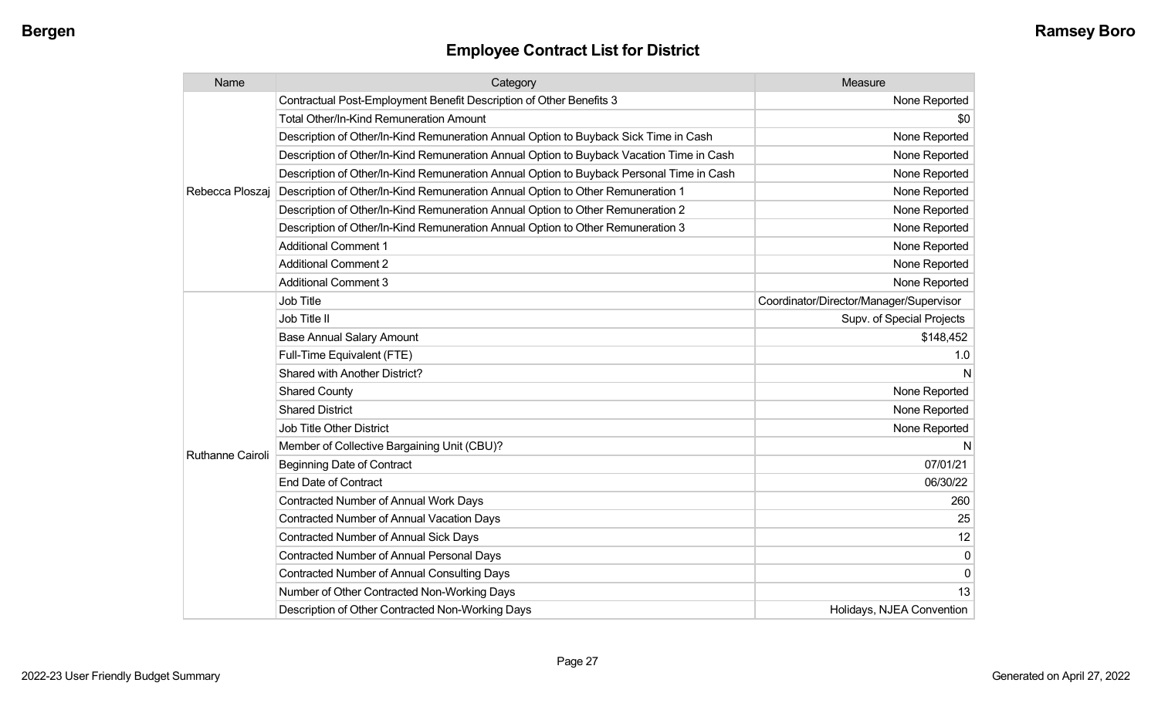| Name             | Category                                                                                 | Measure                                 |
|------------------|------------------------------------------------------------------------------------------|-----------------------------------------|
| Rebecca Ploszai  | Contractual Post-Employment Benefit Description of Other Benefits 3                      | None Reported                           |
|                  | <b>Total Other/In-Kind Remuneration Amount</b>                                           | \$0                                     |
|                  | Description of Other/In-Kind Remuneration Annual Option to Buyback Sick Time in Cash     | None Reported                           |
|                  | Description of Other/In-Kind Remuneration Annual Option to Buyback Vacation Time in Cash | None Reported                           |
|                  | Description of Other/In-Kind Remuneration Annual Option to Buyback Personal Time in Cash | None Reported                           |
|                  | Description of Other/In-Kind Remuneration Annual Option to Other Remuneration 1          | None Reported                           |
|                  | Description of Other/In-Kind Remuneration Annual Option to Other Remuneration 2          | None Reported                           |
|                  | Description of Other/In-Kind Remuneration Annual Option to Other Remuneration 3          | None Reported                           |
|                  | <b>Additional Comment 1</b>                                                              | None Reported                           |
|                  | <b>Additional Comment 2</b>                                                              | None Reported                           |
|                  | <b>Additional Comment 3</b>                                                              | None Reported                           |
|                  | <b>Job Title</b>                                                                         | Coordinator/Director/Manager/Supervisor |
|                  | Job Title II                                                                             | Supv. of Special Projects               |
|                  | <b>Base Annual Salary Amount</b>                                                         | \$148,452                               |
|                  | Full-Time Equivalent (FTE)                                                               | 1.0                                     |
|                  | Shared with Another District?                                                            | N                                       |
|                  | <b>Shared County</b>                                                                     | None Reported                           |
|                  | <b>Shared District</b>                                                                   | None Reported                           |
|                  | <b>Job Title Other District</b>                                                          | None Reported                           |
|                  | Member of Collective Bargaining Unit (CBU)?                                              | N.                                      |
| Ruthanne Cairoli | <b>Beginning Date of Contract</b>                                                        | 07/01/21                                |
|                  | <b>End Date of Contract</b>                                                              | 06/30/22                                |
|                  | Contracted Number of Annual Work Days                                                    | 260                                     |
|                  | <b>Contracted Number of Annual Vacation Days</b>                                         | 25                                      |
|                  | <b>Contracted Number of Annual Sick Days</b>                                             | 12                                      |
|                  | <b>Contracted Number of Annual Personal Days</b>                                         | 0                                       |
|                  | <b>Contracted Number of Annual Consulting Days</b>                                       | 0                                       |
|                  | Number of Other Contracted Non-Working Days                                              | 13                                      |
|                  | Description of Other Contracted Non-Working Days                                         | Holidays, NJEA Convention               |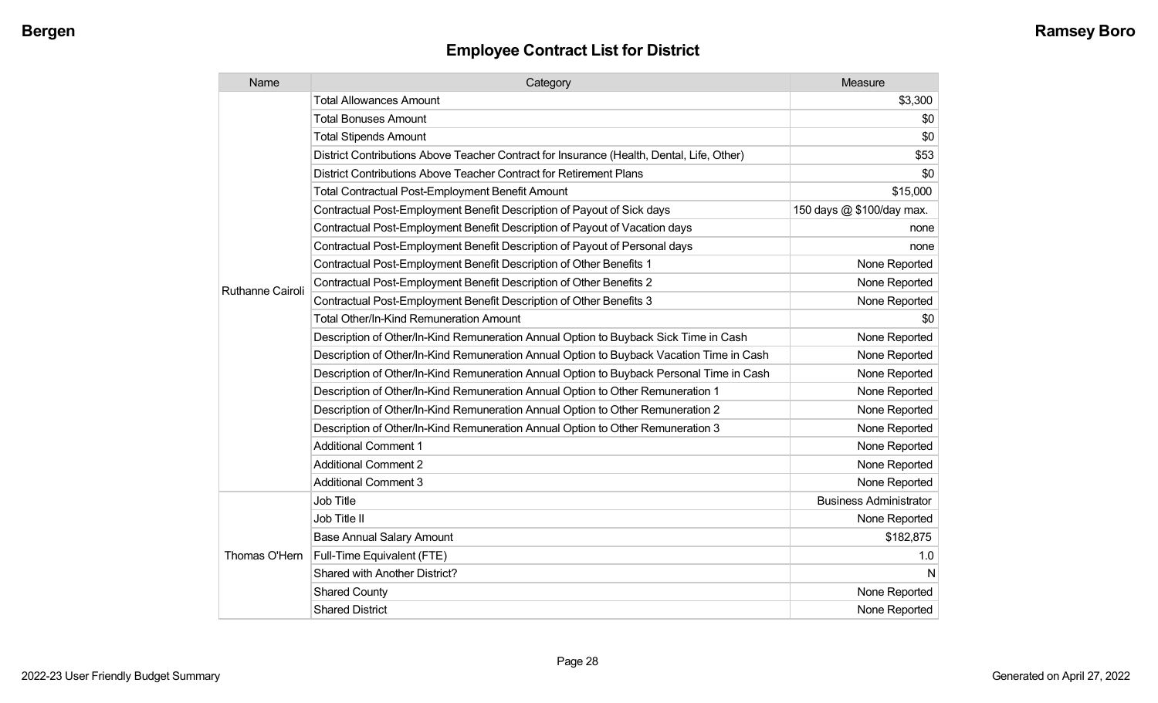| Name                    | Category                                                                                  | Measure                       |
|-------------------------|-------------------------------------------------------------------------------------------|-------------------------------|
|                         | <b>Total Allowances Amount</b>                                                            | \$3,300                       |
|                         | <b>Total Bonuses Amount</b>                                                               | \$0                           |
|                         | <b>Total Stipends Amount</b>                                                              | \$0                           |
|                         | District Contributions Above Teacher Contract for Insurance (Health, Dental, Life, Other) | \$53                          |
|                         | District Contributions Above Teacher Contract for Retirement Plans                        | \$0                           |
|                         | <b>Total Contractual Post-Employment Benefit Amount</b>                                   | \$15,000                      |
|                         | Contractual Post-Employment Benefit Description of Payout of Sick days                    | 150 days @ \$100/day max.     |
|                         | Contractual Post-Employment Benefit Description of Payout of Vacation days                | none                          |
|                         | Contractual Post-Employment Benefit Description of Payout of Personal days                | none                          |
|                         | Contractual Post-Employment Benefit Description of Other Benefits 1                       | None Reported                 |
| <b>Ruthanne Cairoli</b> | Contractual Post-Employment Benefit Description of Other Benefits 2                       | None Reported                 |
|                         | Contractual Post-Employment Benefit Description of Other Benefits 3                       | None Reported                 |
|                         | <b>Total Other/In-Kind Remuneration Amount</b>                                            | \$0                           |
|                         | Description of Other/In-Kind Remuneration Annual Option to Buyback Sick Time in Cash      | None Reported                 |
|                         | Description of Other/In-Kind Remuneration Annual Option to Buyback Vacation Time in Cash  | None Reported                 |
|                         | Description of Other/In-Kind Remuneration Annual Option to Buyback Personal Time in Cash  | None Reported                 |
|                         | Description of Other/In-Kind Remuneration Annual Option to Other Remuneration 1           | None Reported                 |
|                         | Description of Other/In-Kind Remuneration Annual Option to Other Remuneration 2           | None Reported                 |
|                         | Description of Other/In-Kind Remuneration Annual Option to Other Remuneration 3           | None Reported                 |
|                         | <b>Additional Comment 1</b>                                                               | None Reported                 |
|                         | <b>Additional Comment 2</b>                                                               | None Reported                 |
|                         | <b>Additional Comment 3</b>                                                               | None Reported                 |
|                         | Job Title                                                                                 | <b>Business Administrator</b> |
| Thomas O'Hern           | Job Title II                                                                              | None Reported                 |
|                         | <b>Base Annual Salary Amount</b>                                                          | \$182,875                     |
|                         | Full-Time Equivalent (FTE)                                                                | 1.0                           |
|                         | Shared with Another District?                                                             | N                             |
|                         | <b>Shared County</b>                                                                      | None Reported                 |
|                         | <b>Shared District</b>                                                                    | None Reported                 |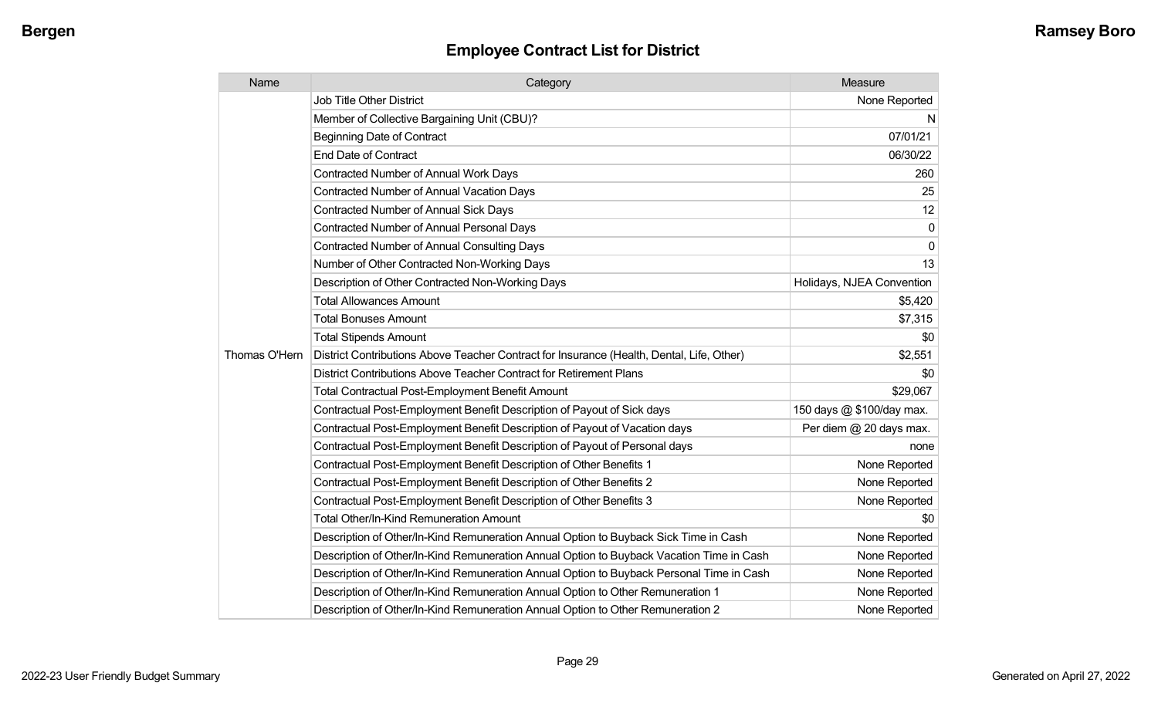| Name          | Category                                                                                  | Measure                   |
|---------------|-------------------------------------------------------------------------------------------|---------------------------|
|               | Job Title Other District                                                                  | None Reported             |
|               | Member of Collective Bargaining Unit (CBU)?                                               | N                         |
|               | <b>Beginning Date of Contract</b>                                                         | 07/01/21                  |
|               | <b>End Date of Contract</b>                                                               | 06/30/22                  |
|               | Contracted Number of Annual Work Days                                                     | 260                       |
|               | <b>Contracted Number of Annual Vacation Days</b>                                          | 25                        |
|               | <b>Contracted Number of Annual Sick Days</b>                                              | 12                        |
|               | <b>Contracted Number of Annual Personal Days</b>                                          | 0                         |
|               | <b>Contracted Number of Annual Consulting Days</b>                                        | 0                         |
|               | Number of Other Contracted Non-Working Days                                               | 13                        |
|               | Description of Other Contracted Non-Working Days                                          | Holidays, NJEA Convention |
|               | <b>Total Allowances Amount</b>                                                            | \$5,420                   |
|               | <b>Total Bonuses Amount</b>                                                               | \$7,315                   |
|               | <b>Total Stipends Amount</b>                                                              | \$0                       |
| Thomas O'Hern | District Contributions Above Teacher Contract for Insurance (Health, Dental, Life, Other) | \$2,551                   |
|               | District Contributions Above Teacher Contract for Retirement Plans                        | \$0                       |
|               | <b>Total Contractual Post-Employment Benefit Amount</b>                                   | \$29,067                  |
|               | Contractual Post-Employment Benefit Description of Payout of Sick days                    | 150 days @ \$100/day max. |
|               | Contractual Post-Employment Benefit Description of Payout of Vacation days                | Per diem @ 20 days max.   |
|               | Contractual Post-Employment Benefit Description of Payout of Personal days                | none                      |
|               | Contractual Post-Employment Benefit Description of Other Benefits 1                       | None Reported             |
|               | Contractual Post-Employment Benefit Description of Other Benefits 2                       | None Reported             |
|               | Contractual Post-Employment Benefit Description of Other Benefits 3                       | None Reported             |
|               | <b>Total Other/In-Kind Remuneration Amount</b>                                            | \$0                       |
|               | Description of Other/In-Kind Remuneration Annual Option to Buyback Sick Time in Cash      | None Reported             |
|               | Description of Other/In-Kind Remuneration Annual Option to Buyback Vacation Time in Cash  | None Reported             |
|               | Description of Other/In-Kind Remuneration Annual Option to Buyback Personal Time in Cash  | None Reported             |
|               | Description of Other/In-Kind Remuneration Annual Option to Other Remuneration 1           | None Reported             |
|               | Description of Other/In-Kind Remuneration Annual Option to Other Remuneration 2           | None Reported             |